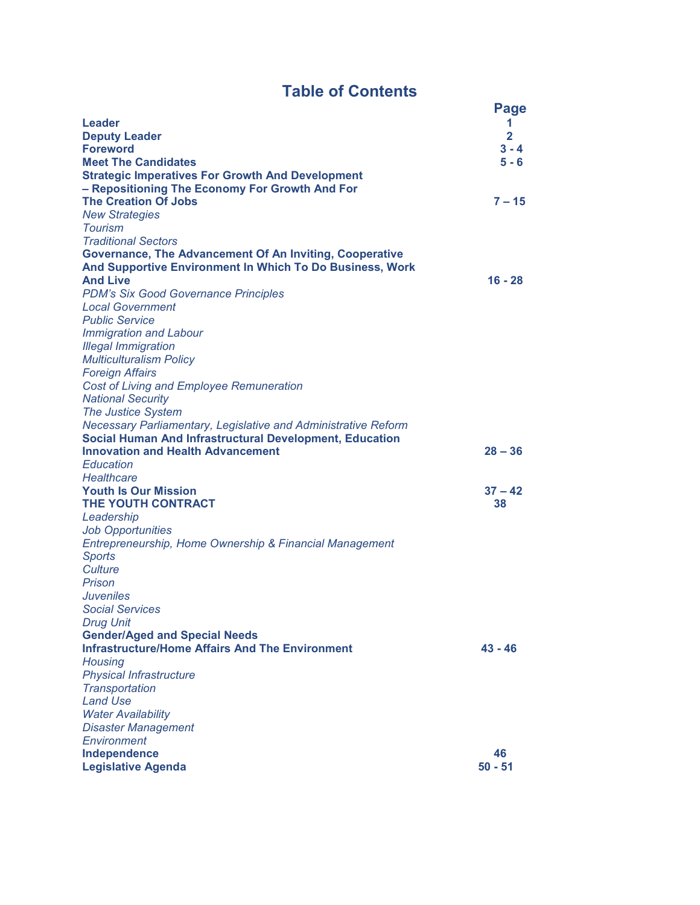# **Table of Contents**

|                                                                | <b>Page</b>    |
|----------------------------------------------------------------|----------------|
| Leader                                                         | 1              |
| <b>Deputy Leader</b>                                           | $\overline{2}$ |
| <b>Foreword</b>                                                | $3 - 4$        |
| <b>Meet The Candidates</b>                                     | 5 - 6          |
| <b>Strategic Imperatives For Growth And Development</b>        |                |
| - Repositioning The Economy For Growth And For                 |                |
| <b>The Creation Of Jobs</b>                                    | $7 - 15$       |
| <b>New Strategies</b>                                          |                |
| <b>Tourism</b>                                                 |                |
| <b>Traditional Sectors</b>                                     |                |
| Governance, The Advancement Of An Inviting, Cooperative        |                |
| And Supportive Environment In Which To Do Business, Work       |                |
| <b>And Live</b>                                                | 16 - 28        |
| <b>PDM's Six Good Governance Principles</b>                    |                |
| <b>Local Government</b>                                        |                |
| <b>Public Service</b>                                          |                |
| <b>Immigration and Labour</b>                                  |                |
| <b>Illegal Immigration</b>                                     |                |
| <b>Multiculturalism Policy</b>                                 |                |
| <b>Foreign Affairs</b>                                         |                |
| <b>Cost of Living and Employee Remuneration</b>                |                |
| <b>National Security</b>                                       |                |
| <b>The Justice System</b>                                      |                |
| Necessary Parliamentary, Legislative and Administrative Reform |                |
| <b>Social Human And Infrastructural Development, Education</b> |                |
| <b>Innovation and Health Advancement</b>                       | $28 - 36$      |
| Education                                                      |                |
| Healthcare                                                     |                |
| <b>Youth Is Our Mission</b>                                    | $37 - 42$      |
| <b>THE YOUTH CONTRACT</b>                                      | 38             |
| Leadership                                                     |                |
| <b>Job Opportunities</b>                                       |                |
| Entrepreneurship, Home Ownership & Financial Management        |                |
| <b>Sports</b>                                                  |                |
| <b>Culture</b>                                                 |                |
| Prison                                                         |                |
| Juveniles                                                      |                |
| <b>Social Services</b>                                         |                |
| <b>Drug Unit</b>                                               |                |
| <b>Gender/Aged and Special Needs</b>                           |                |
| <b>Infrastructure/Home Affairs And The Environment</b>         | 43 - 46        |
| Housing                                                        |                |
| <b>Physical Infrastructure</b>                                 |                |
| <b>Transportation</b>                                          |                |
| <b>Land Use</b>                                                |                |
| <b>Water Availability</b>                                      |                |
| <b>Disaster Management</b>                                     |                |
| Environment                                                    |                |
| Independence                                                   | 46             |
| <b>Legislative Agenda</b>                                      | $50 - 51$      |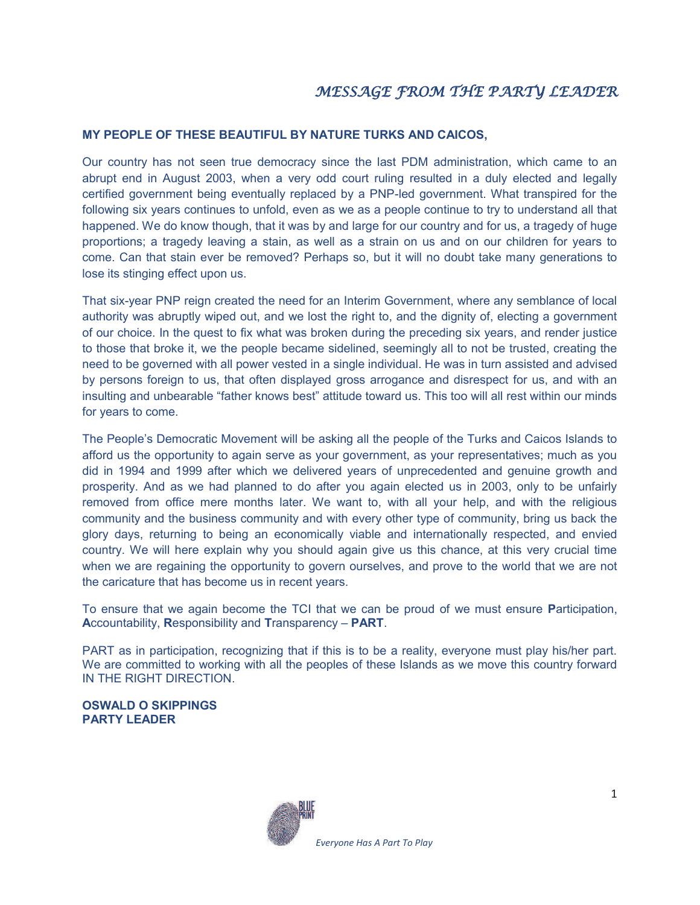#### **MY PEOPLE OF THESE BEAUTIFUL BY NATURE TURKS AND CAICOS,**

Our country has not seen true democracy since the last PDM administration, which came to an abrupt end in August 2003, when a very odd court ruling resulted in a duly elected and legally certified government being eventually replaced by a PNP-led government. What transpired for the following six years continues to unfold, even as we as a people continue to try to understand all that happened. We do know though, that it was by and large for our country and for us, a tragedy of huge proportions; a tragedy leaving a stain, as well as a strain on us and on our children for years to come. Can that stain ever be removed? Perhaps so, but it will no doubt take many generations to lose its stinging effect upon us.

That six-year PNP reign created the need for an Interim Government, where any semblance of local authority was abruptly wiped out, and we lost the right to, and the dignity of, electing a government of our choice. In the quest to fix what was broken during the preceding six years, and render justice to those that broke it, we the people became sidelined, seemingly all to not be trusted, creating the need to be governed with all power vested in a single individual. He was in turn assisted and advised by persons foreign to us, that often displayed gross arrogance and disrespect for us, and with an insulting and unbearable "father knows best" attitude toward us. This too will all rest within our minds for years to come.

The People's Democratic Movement will be asking all the people of the Turks and Caicos Islands to afford us the opportunity to again serve as your government, as your representatives; much as you did in 1994 and 1999 after which we delivered years of unprecedented and genuine growth and prosperity. And as we had planned to do after you again elected us in 2003, only to be unfairly removed from office mere months later. We want to, with all your help, and with the religious community and the business community and with every other type of community, bring us back the glory days, returning to being an economically viable and internationally respected, and envied country. We will here explain why you should again give us this chance, at this very crucial time when we are regaining the opportunity to govern ourselves, and prove to the world that we are not the caricature that has become us in recent years.

To ensure that we again become the TCI that we can be proud of we must ensure **P**articipation, **A**ccountability, **R**esponsibility and **T**ransparency – **PART**.

PART as in participation, recognizing that if this is to be a reality, everyone must play his/her part. We are committed to working with all the peoples of these Islands as we move this country forward IN THE RIGHT DIRECTION.

**OSWALD O SKIPPINGS PARTY LEADER** 

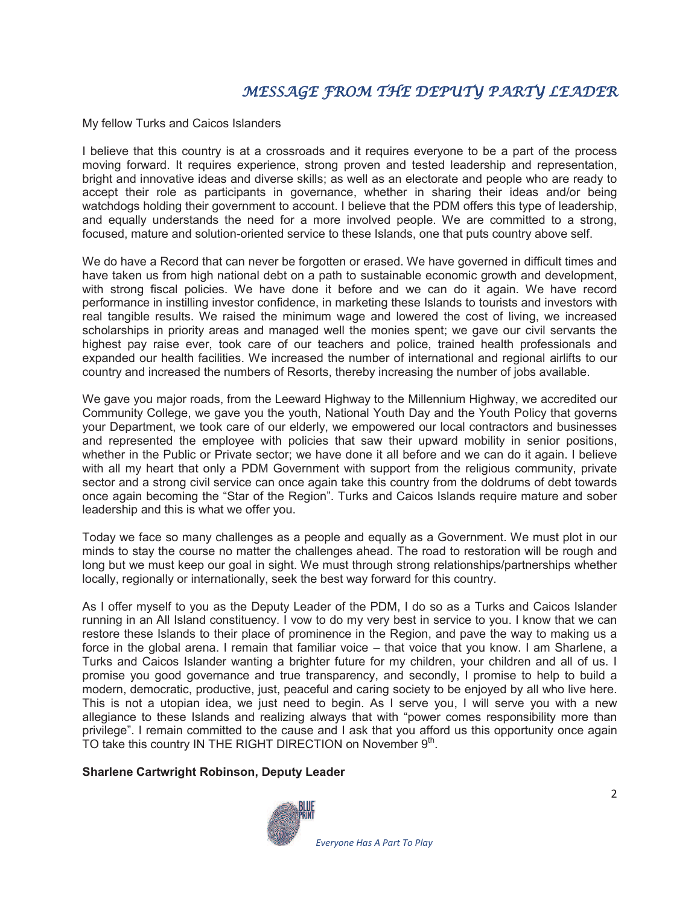## MESSAGE FROM THE DEPUTY PARTY LEADER

My fellow Turks and Caicos Islanders

I believe that this country is at a crossroads and it requires everyone to be a part of the process moving forward. It requires experience, strong proven and tested leadership and representation, bright and innovative ideas and diverse skills; as well as an electorate and people who are ready to accept their role as participants in governance, whether in sharing their ideas and/or being watchdogs holding their government to account. I believe that the PDM offers this type of leadership, and equally understands the need for a more involved people. We are committed to a strong, focused, mature and solution-oriented service to these Islands, one that puts country above self.

We do have a Record that can never be forgotten or erased. We have governed in difficult times and have taken us from high national debt on a path to sustainable economic growth and development, with strong fiscal policies. We have done it before and we can do it again. We have record performance in instilling investor confidence, in marketing these Islands to tourists and investors with real tangible results. We raised the minimum wage and lowered the cost of living, we increased scholarships in priority areas and managed well the monies spent; we gave our civil servants the highest pay raise ever, took care of our teachers and police, trained health professionals and expanded our health facilities. We increased the number of international and regional airlifts to our country and increased the numbers of Resorts, thereby increasing the number of jobs available.

We gave you major roads, from the Leeward Highway to the Millennium Highway, we accredited our Community College, we gave you the youth, National Youth Day and the Youth Policy that governs your Department, we took care of our elderly, we empowered our local contractors and businesses and represented the employee with policies that saw their upward mobility in senior positions, whether in the Public or Private sector; we have done it all before and we can do it again. I believe with all my heart that only a PDM Government with support from the religious community, private sector and a strong civil service can once again take this country from the doldrums of debt towards once again becoming the "Star of the Region". Turks and Caicos Islands require mature and sober leadership and this is what we offer you.

Today we face so many challenges as a people and equally as a Government. We must plot in our minds to stay the course no matter the challenges ahead. The road to restoration will be rough and long but we must keep our goal in sight. We must through strong relationships/partnerships whether locally, regionally or internationally, seek the best way forward for this country.

As I offer myself to you as the Deputy Leader of the PDM, I do so as a Turks and Caicos Islander running in an All Island constituency. I vow to do my very best in service to you. I know that we can restore these Islands to their place of prominence in the Region, and pave the way to making us a force in the global arena. I remain that familiar voice – that voice that you know. I am Sharlene, a Turks and Caicos Islander wanting a brighter future for my children, your children and all of us. I promise you good governance and true transparency, and secondly, I promise to help to build a modern, democratic, productive, just, peaceful and caring society to be enjoyed by all who live here. This is not a utopian idea, we just need to begin. As I serve you, I will serve you with a new allegiance to these Islands and realizing always that with "power comes responsibility more than privilege". I remain committed to the cause and I ask that you afford us this opportunity once again TO take this country IN THE RIGHT DIRECTION on November  $9<sup>th</sup>$ .

#### **Sharlene Cartwright Robinson, Deputy Leader**

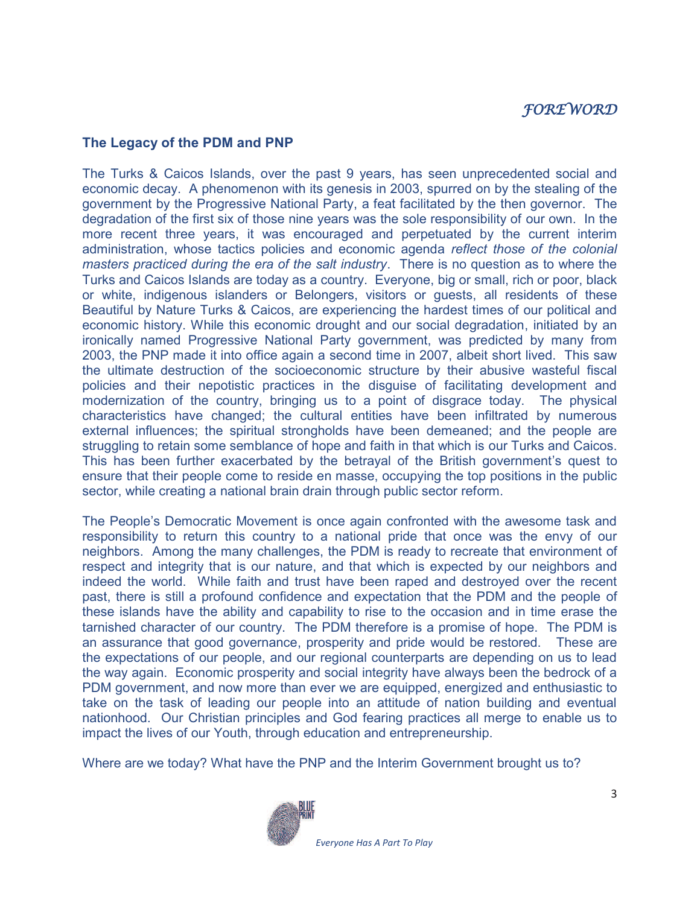## FOREWORD

#### **The Legacy of the PDM and PNP**

The Turks & Caicos Islands, over the past 9 years, has seen unprecedented social and economic decay. A phenomenon with its genesis in 2003, spurred on by the stealing of the government by the Progressive National Party, a feat facilitated by the then governor. The degradation of the first six of those nine years was the sole responsibility of our own. In the more recent three years, it was encouraged and perpetuated by the current interim administration, whose tactics policies and economic agenda *reflect those of the colonial masters practiced during the era of the salt industry*. There is no question as to where the Turks and Caicos Islands are today as a country. Everyone, big or small, rich or poor, black or white, indigenous islanders or Belongers, visitors or guests, all residents of these Beautiful by Nature Turks & Caicos, are experiencing the hardest times of our political and economic history. While this economic drought and our social degradation, initiated by an ironically named Progressive National Party government, was predicted by many from 2003, the PNP made it into office again a second time in 2007, albeit short lived. This saw the ultimate destruction of the socioeconomic structure by their abusive wasteful fiscal policies and their nepotistic practices in the disguise of facilitating development and modernization of the country, bringing us to a point of disgrace today. The physical characteristics have changed; the cultural entities have been infiltrated by numerous external influences; the spiritual strongholds have been demeaned; and the people are struggling to retain some semblance of hope and faith in that which is our Turks and Caicos. This has been further exacerbated by the betrayal of the British government's quest to ensure that their people come to reside en masse, occupying the top positions in the public sector, while creating a national brain drain through public sector reform.

The People's Democratic Movement is once again confronted with the awesome task and responsibility to return this country to a national pride that once was the envy of our neighbors. Among the many challenges, the PDM is ready to recreate that environment of respect and integrity that is our nature, and that which is expected by our neighbors and indeed the world. While faith and trust have been raped and destroyed over the recent past, there is still a profound confidence and expectation that the PDM and the people of these islands have the ability and capability to rise to the occasion and in time erase the tarnished character of our country. The PDM therefore is a promise of hope. The PDM is an assurance that good governance, prosperity and pride would be restored. These are the expectations of our people, and our regional counterparts are depending on us to lead the way again. Economic prosperity and social integrity have always been the bedrock of a PDM government, and now more than ever we are equipped, energized and enthusiastic to take on the task of leading our people into an attitude of nation building and eventual nationhood. Our Christian principles and God fearing practices all merge to enable us to impact the lives of our Youth, through education and entrepreneurship.

Where are we today? What have the PNP and the Interim Government brought us to?

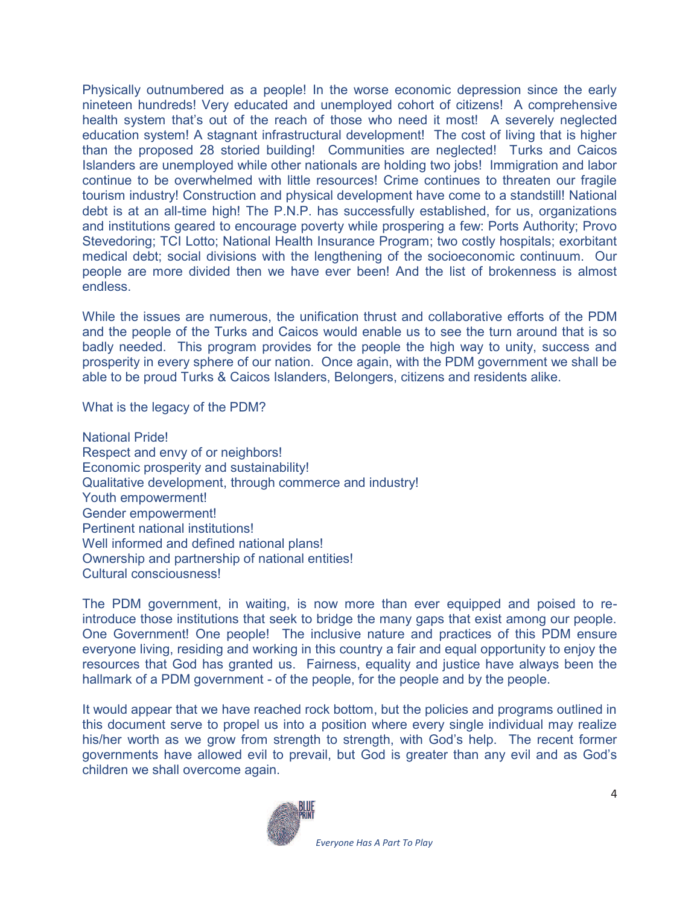Physically outnumbered as a people! In the worse economic depression since the early nineteen hundreds! Very educated and unemployed cohort of citizens! A comprehensive health system that's out of the reach of those who need it most! A severely neglected education system! A stagnant infrastructural development! The cost of living that is higher than the proposed 28 storied building! Communities are neglected! Turks and Caicos Islanders are unemployed while other nationals are holding two jobs! Immigration and labor continue to be overwhelmed with little resources! Crime continues to threaten our fragile tourism industry! Construction and physical development have come to a standstill! National debt is at an all-time high! The P.N.P. has successfully established, for us, organizations and institutions geared to encourage poverty while prospering a few: Ports Authority; Provo Stevedoring; TCI Lotto; National Health Insurance Program; two costly hospitals; exorbitant medical debt; social divisions with the lengthening of the socioeconomic continuum. Our people are more divided then we have ever been! And the list of brokenness is almost endless.

While the issues are numerous, the unification thrust and collaborative efforts of the PDM and the people of the Turks and Caicos would enable us to see the turn around that is so badly needed. This program provides for the people the high way to unity, success and prosperity in every sphere of our nation. Once again, with the PDM government we shall be able to be proud Turks & Caicos Islanders, Belongers, citizens and residents alike.

What is the legacy of the PDM?

National Pride! Respect and envy of or neighbors! Economic prosperity and sustainability! Qualitative development, through commerce and industry! Youth empowerment! Gender empowerment! Pertinent national institutions! Well informed and defined national plans! Ownership and partnership of national entities! Cultural consciousness!

The PDM government, in waiting, is now more than ever equipped and poised to reintroduce those institutions that seek to bridge the many gaps that exist among our people. One Government! One people! The inclusive nature and practices of this PDM ensure everyone living, residing and working in this country a fair and equal opportunity to enjoy the resources that God has granted us. Fairness, equality and justice have always been the hallmark of a PDM government - of the people, for the people and by the people.

It would appear that we have reached rock bottom, but the policies and programs outlined in this document serve to propel us into a position where every single individual may realize his/her worth as we grow from strength to strength, with God's help. The recent former governments have allowed evil to prevail, but God is greater than any evil and as God's children we shall overcome again.

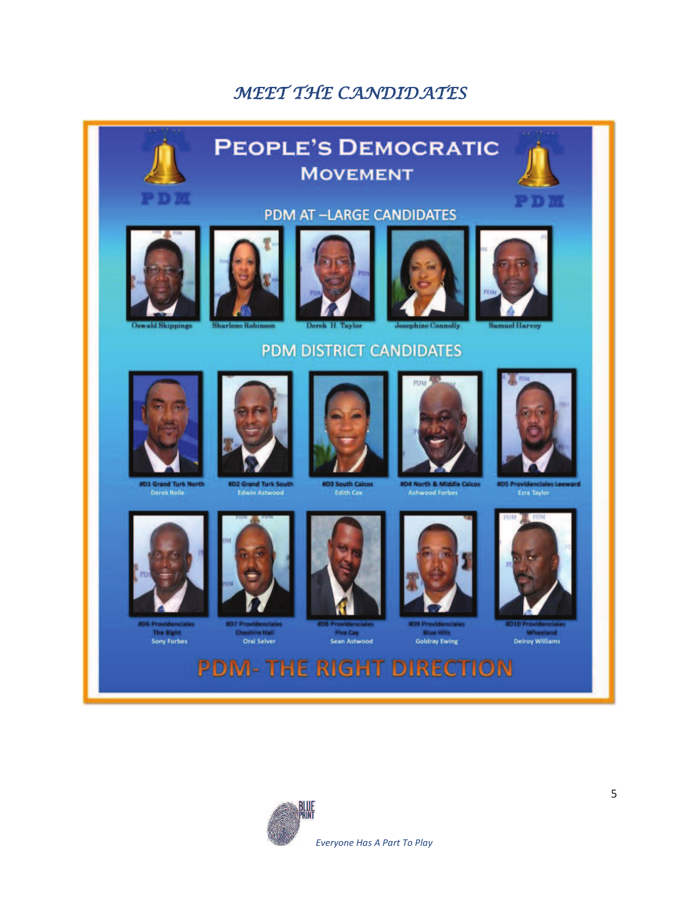# MEET THE CANDIDATES



**PDM-THE RIGHT DIRECTION** 

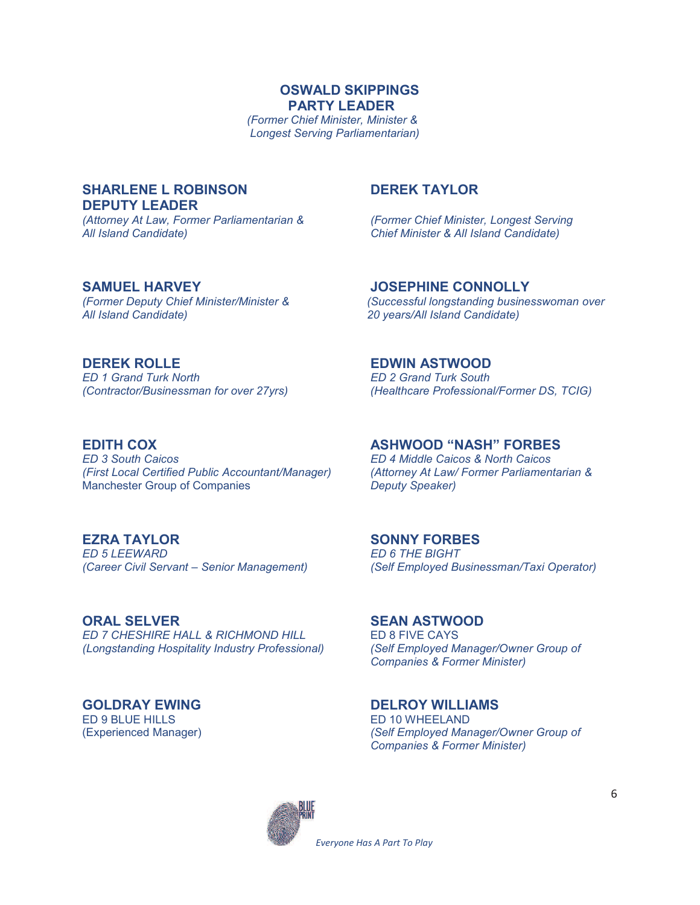**OSWALD SKIPPINGS PARTY LEADER** 

*(Former Chief Minister, Minister & Longest Serving Parliamentarian)* 

#### **SHARLENE L ROBINSON DEREK TAYLOR DEPUTY LEADER**

*(Attorney At Law, Former Parliamentarian & (Former Chief Minister, Longest Serving* 

*All Island Candidate) Chief Minister & All Island Candidate)* 

**SAMUEL HARVEY JOSEPHINE CONNOLLY** 

*(First Local Certified Public Accountant/Manager)* Manchester Group of Companies *Deputy Speaker)* 

*ED 7 CHESHIRE HALL & RICHMOND HILL* **ED 8 FIVE CAYS**<br>(Longstanding Hospitality Industry Professional) (Self Employed Manager/Owner Group of *(Longstanding Hospitality Industry Professional)* 

ED 9 BLUE HILLS<br>(Experienced Manager)

*(Former Deputy Chief Minister/Minister & (Successful longstanding businesswoman over All Island Candidate) 20 years/All Island Candidate)* 

**DEREK ROLLE**<br>
ED 1 Grand Turk North **ED 2 Grand Turk South** *ED 2 Grand Turk South (Contractor/Businessman for over 27yrs) (Healthcare Professional/Former DS, TCIG)* 

**EDITH COX**<br> **ED** 3 South Caicos<br> **ED** 4 Middle Caicos & North Caicos *ED 3 South Caicos ED 4 Middle Caicos & North Caicos* 

**EZRA TAYLOR SONNY FORBES**  *ED 6 THE BIGHT (Career Civil Servant – Senior Management) (Self Employed Businessman/Taxi Operator)* 

**ORAL SELVER** SEAN ASTWOOD<br>
ED 7 CHESHIRE HALL & RICHMOND HILL ED 8 FIVE CAYS *Companies & Former Minister)* 

**GOLDRAY EWING**<br>FD 9 BLUE HILLS<br>FD 10 WHEELAND (Experienced Manager) *(Self Employed Manager/Owner Group of Companies & Former Minister)* 



*Everyone Has A Part To Play*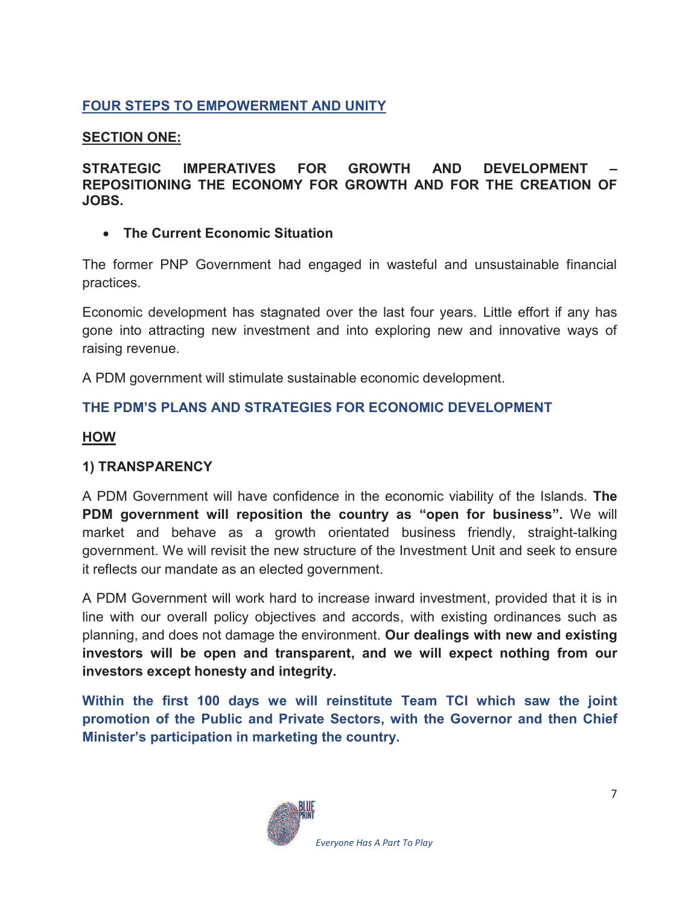## **FOUR STEPS TO EMPOWERMENT AND UNITY**

### **SECTION ONE:**

**STRATEGIC IMPERATIVES FOR GROWTH AND DEVELOPMENT – REPOSITIONING THE ECONOMY FOR GROWTH AND FOR THE CREATION OF JOBS.** 

### · **The Current Economic Situation**

The former PNP Government had engaged in wasteful and unsustainable financial practices.

Economic development has stagnated over the last four years. Little effort if any has gone into attracting new investment and into exploring new and innovative ways of raising revenue.

A PDM government will stimulate sustainable economic development.

## **THE PDM'S PLANS AND STRATEGIES FOR ECONOMIC DEVELOPMENT**

#### **HOW**

#### **1) TRANSPARENCY**

A PDM Government will have confidence in the economic viability of the Islands. **The PDM government will reposition the country as "open for business".** We will market and behave as a growth orientated business friendly, straight-talking government. We will revisit the new structure of the Investment Unit and seek to ensure it reflects our mandate as an elected government.

A PDM Government will work hard to increase inward investment, provided that it is in line with our overall policy objectives and accords, with existing ordinances such as planning, and does not damage the environment. **Our dealings with new and existing investors will be open and transparent, and we will expect nothing from our investors except honesty and integrity.** 

**Within the first 100 days we will reinstitute Team TCI which saw the joint promotion of the Public and Private Sectors, with the Governor and then Chief Minister's participation in marketing the country.**

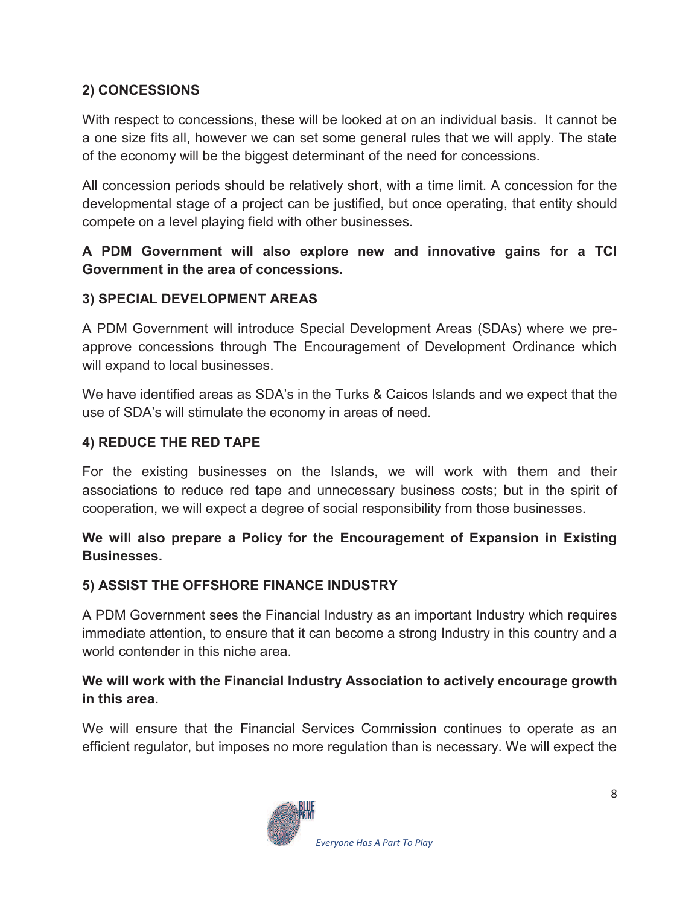## **2) CONCESSIONS**

With respect to concessions, these will be looked at on an individual basis. It cannot be a one size fits all, however we can set some general rules that we will apply. The state of the economy will be the biggest determinant of the need for concessions.

All concession periods should be relatively short, with a time limit. A concession for the developmental stage of a project can be justified, but once operating, that entity should compete on a level playing field with other businesses.

## **A PDM Government will also explore new and innovative gains for a TCI Government in the area of concessions.**

### **3) SPECIAL DEVELOPMENT AREAS**

A PDM Government will introduce Special Development Areas (SDAs) where we preapprove concessions through The Encouragement of Development Ordinance which will expand to local businesses.

We have identified areas as SDA's in the Turks & Caicos Islands and we expect that the use of SDA's will stimulate the economy in areas of need.

#### **4) REDUCE THE RED TAPE**

For the existing businesses on the Islands, we will work with them and their associations to reduce red tape and unnecessary business costs; but in the spirit of cooperation, we will expect a degree of social responsibility from those businesses.

### **We will also prepare a Policy for the Encouragement of Expansion in Existing Businesses.**

#### **5) ASSIST THE OFFSHORE FINANCE INDUSTRY**

A PDM Government sees the Financial Industry as an important Industry which requires immediate attention, to ensure that it can become a strong Industry in this country and a world contender in this niche area.

## **We will work with the Financial Industry Association to actively encourage growth in this area.**

We will ensure that the Financial Services Commission continues to operate as an efficient regulator, but imposes no more regulation than is necessary. We will expect the

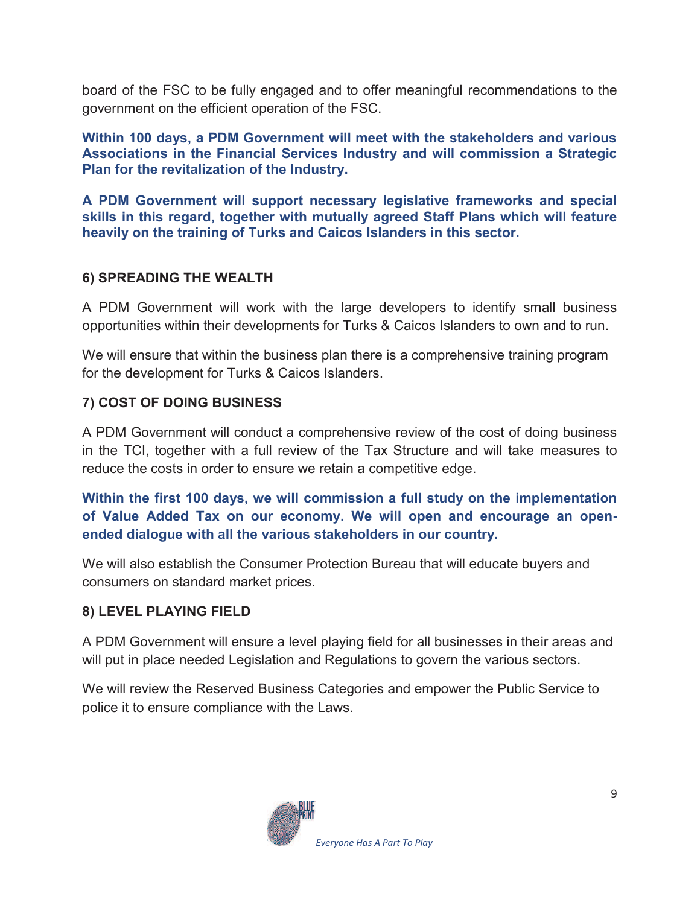board of the FSC to be fully engaged and to offer meaningful recommendations to the government on the efficient operation of the FSC.

**Within 100 days, a PDM Government will meet with the stakeholders and various Associations in the Financial Services Industry and will commission a Strategic Plan for the revitalization of the Industry.** 

**A PDM Government will support necessary legislative frameworks and special skills in this regard, together with mutually agreed Staff Plans which will feature heavily on the training of Turks and Caicos Islanders in this sector.** 

## **6) SPREADING THE WEALTH**

A PDM Government will work with the large developers to identify small business opportunities within their developments for Turks & Caicos Islanders to own and to run.

We will ensure that within the business plan there is a comprehensive training program for the development for Turks & Caicos Islanders.

## **7) COST OF DOING BUSINESS**

A PDM Government will conduct a comprehensive review of the cost of doing business in the TCI, together with a full review of the Tax Structure and will take measures to reduce the costs in order to ensure we retain a competitive edge.

**Within the first 100 days, we will commission a full study on the implementation of Value Added Tax on our economy. We will open and encourage an openended dialogue with all the various stakeholders in our country.** 

We will also establish the Consumer Protection Bureau that will educate buyers and consumers on standard market prices.

## **8) LEVEL PLAYING FIELD**

A PDM Government will ensure a level playing field for all businesses in their areas and will put in place needed Legislation and Regulations to govern the various sectors.

We will review the Reserved Business Categories and empower the Public Service to police it to ensure compliance with the Laws.

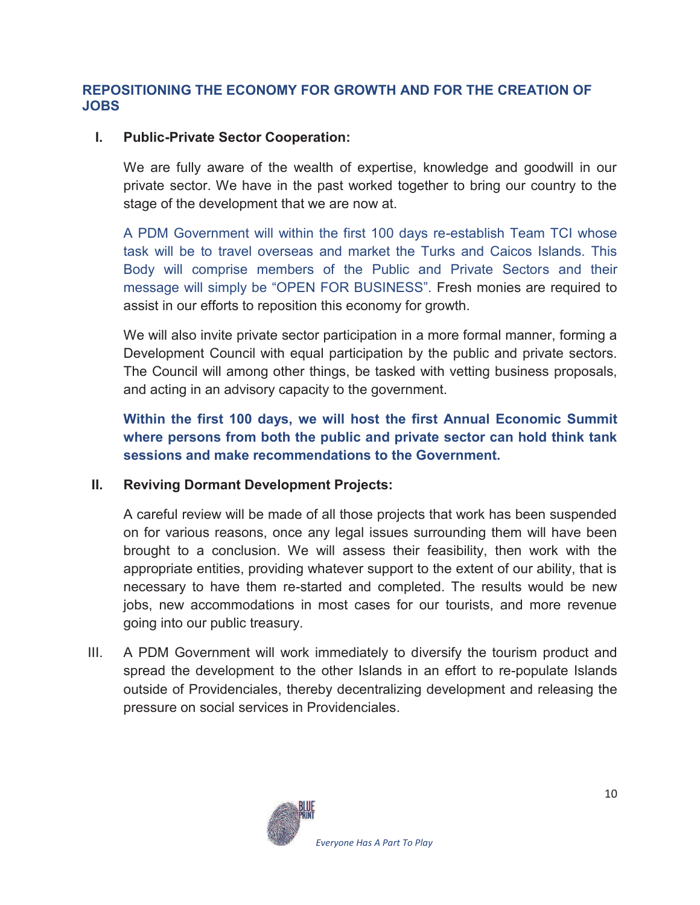#### **REPOSITIONING THE ECONOMY FOR GROWTH AND FOR THE CREATION OF JOBS**

#### **I. Public-Private Sector Cooperation:**

We are fully aware of the wealth of expertise, knowledge and goodwill in our private sector. We have in the past worked together to bring our country to the stage of the development that we are now at.

A PDM Government will within the first 100 days re-establish Team TCI whose task will be to travel overseas and market the Turks and Caicos Islands. This Body will comprise members of the Public and Private Sectors and their message will simply be "OPEN FOR BUSINESS". Fresh monies are required to assist in our efforts to reposition this economy for growth.

We will also invite private sector participation in a more formal manner, forming a Development Council with equal participation by the public and private sectors. The Council will among other things, be tasked with vetting business proposals, and acting in an advisory capacity to the government.

**Within the first 100 days, we will host the first Annual Economic Summit where persons from both the public and private sector can hold think tank sessions and make recommendations to the Government.** 

#### **II. Reviving Dormant Development Projects:**

A careful review will be made of all those projects that work has been suspended on for various reasons, once any legal issues surrounding them will have been brought to a conclusion. We will assess their feasibility, then work with the appropriate entities, providing whatever support to the extent of our ability, that is necessary to have them re-started and completed. The results would be new jobs, new accommodations in most cases for our tourists, and more revenue going into our public treasury.

III. A PDM Government will work immediately to diversify the tourism product and spread the development to the other Islands in an effort to re-populate Islands outside of Providenciales, thereby decentralizing development and releasing the pressure on social services in Providenciales.

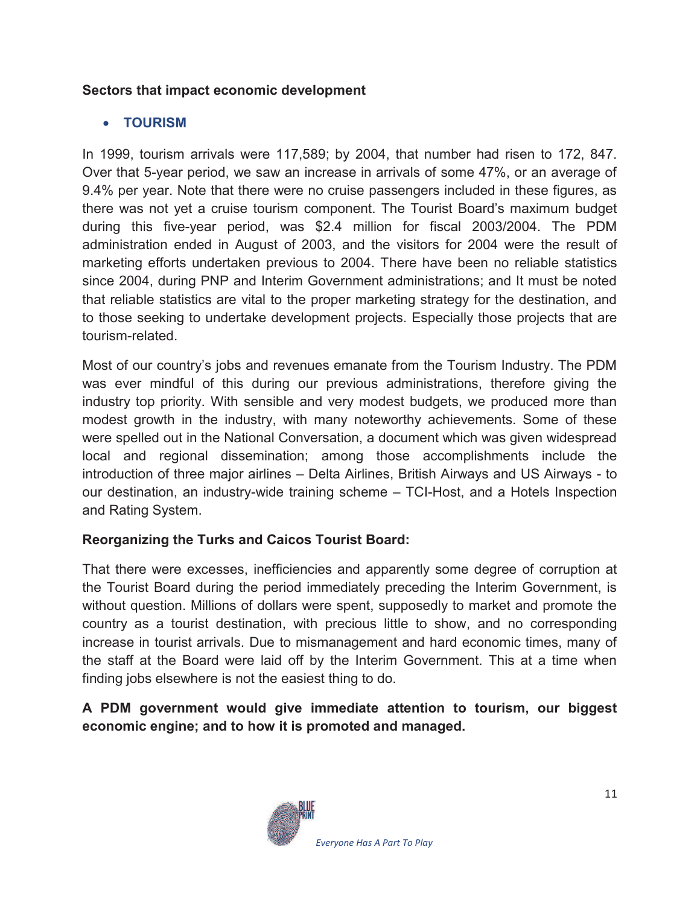## **Sectors that impact economic development**

## · **TOURISM**

In 1999, tourism arrivals were 117,589; by 2004, that number had risen to 172, 847. Over that 5-year period, we saw an increase in arrivals of some 47%, or an average of 9.4% per year. Note that there were no cruise passengers included in these figures, as there was not yet a cruise tourism component. The Tourist Board's maximum budget during this five-year period, was \$2.4 million for fiscal 2003/2004. The PDM administration ended in August of 2003, and the visitors for 2004 were the result of marketing efforts undertaken previous to 2004. There have been no reliable statistics since 2004, during PNP and Interim Government administrations; and It must be noted that reliable statistics are vital to the proper marketing strategy for the destination, and to those seeking to undertake development projects. Especially those projects that are tourism-related.

Most of our country's jobs and revenues emanate from the Tourism Industry. The PDM was ever mindful of this during our previous administrations, therefore giving the industry top priority. With sensible and very modest budgets, we produced more than modest growth in the industry, with many noteworthy achievements. Some of these were spelled out in the National Conversation, a document which was given widespread local and regional dissemination; among those accomplishments include the introduction of three major airlines – Delta Airlines, British Airways and US Airways - to our destination, an industry-wide training scheme – TCI-Host, and a Hotels Inspection and Rating System.

## **Reorganizing the Turks and Caicos Tourist Board:**

That there were excesses, inefficiencies and apparently some degree of corruption at the Tourist Board during the period immediately preceding the Interim Government, is without question. Millions of dollars were spent, supposedly to market and promote the country as a tourist destination, with precious little to show, and no corresponding increase in tourist arrivals. Due to mismanagement and hard economic times, many of the staff at the Board were laid off by the Interim Government. This at a time when finding jobs elsewhere is not the easiest thing to do.

**A PDM government would give immediate attention to tourism, our biggest economic engine; and to how it is promoted and managed.** 

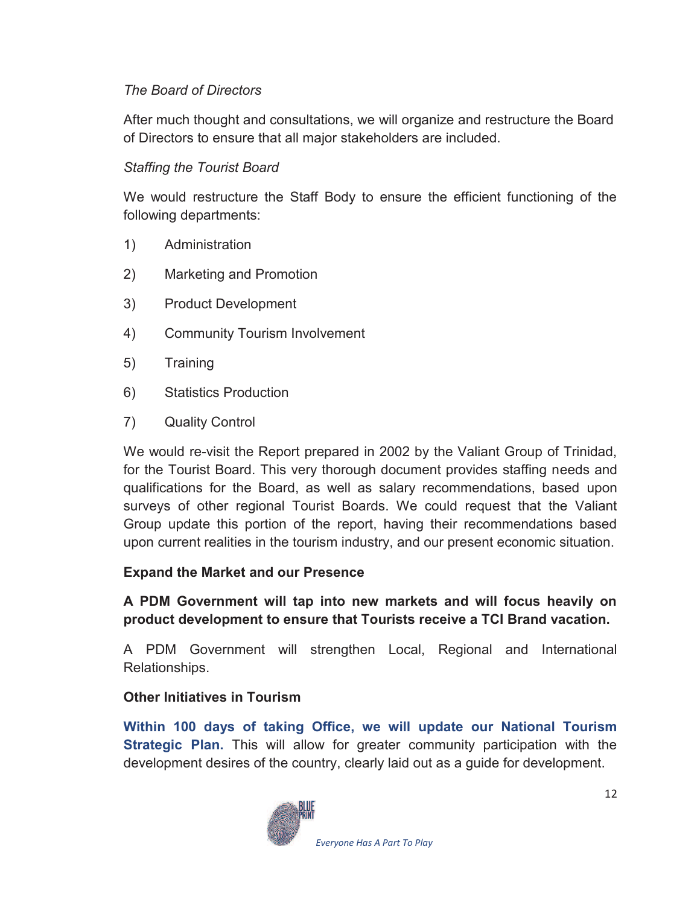## *The Board of Directors*

After much thought and consultations, we will organize and restructure the Board of Directors to ensure that all major stakeholders are included.

## *Staffing the Tourist Board*

We would restructure the Staff Body to ensure the efficient functioning of the following departments:

- 1) Administration
- 2) Marketing and Promotion
- 3) Product Development
- 4) Community Tourism Involvement
- 5) Training
- 6) Statistics Production
- 7) Quality Control

We would re-visit the Report prepared in 2002 by the Valiant Group of Trinidad, for the Tourist Board. This very thorough document provides staffing needs and qualifications for the Board, as well as salary recommendations, based upon surveys of other regional Tourist Boards. We could request that the Valiant Group update this portion of the report, having their recommendations based upon current realities in the tourism industry, and our present economic situation.

#### **Expand the Market and our Presence**

**A PDM Government will tap into new markets and will focus heavily on product development to ensure that Tourists receive a TCI Brand vacation.** 

A PDM Government will strengthen Local, Regional and International Relationships.

## **Other Initiatives in Tourism**

**Within 100 days of taking Office, we will update our National Tourism Strategic Plan.** This will allow for greater community participation with the development desires of the country, clearly laid out as a guide for development.

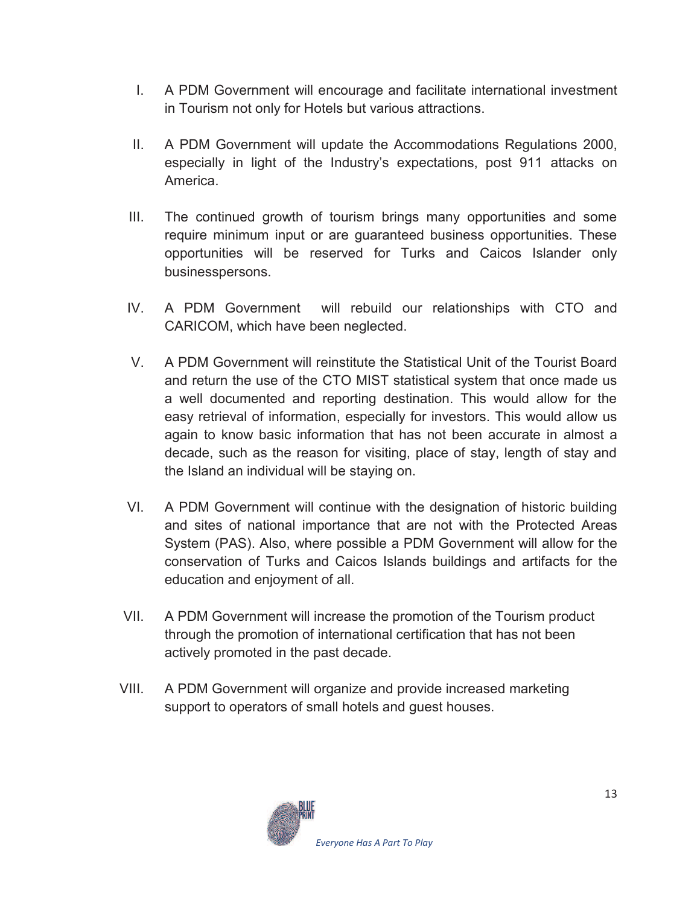- I. A PDM Government will encourage and facilitate international investment in Tourism not only for Hotels but various attractions.
- II. A PDM Government will update the Accommodations Regulations 2000, especially in light of the Industry's expectations, post 911 attacks on America.
- III. The continued growth of tourism brings many opportunities and some require minimum input or are guaranteed business opportunities. These opportunities will be reserved for Turks and Caicos Islander only businesspersons.
- IV. A PDM Government will rebuild our relationships with CTO and CARICOM, which have been neglected.
- V. A PDM Government will reinstitute the Statistical Unit of the Tourist Board and return the use of the CTO MIST statistical system that once made us a well documented and reporting destination. This would allow for the easy retrieval of information, especially for investors. This would allow us again to know basic information that has not been accurate in almost a decade, such as the reason for visiting, place of stay, length of stay and the Island an individual will be staying on.
- VI. A PDM Government will continue with the designation of historic building and sites of national importance that are not with the Protected Areas System (PAS). Also, where possible a PDM Government will allow for the conservation of Turks and Caicos Islands buildings and artifacts for the education and enjoyment of all.
- VII. A PDM Government will increase the promotion of the Tourism product through the promotion of international certification that has not been actively promoted in the past decade.
- VIII. A PDM Government will organize and provide increased marketing support to operators of small hotels and guest houses.

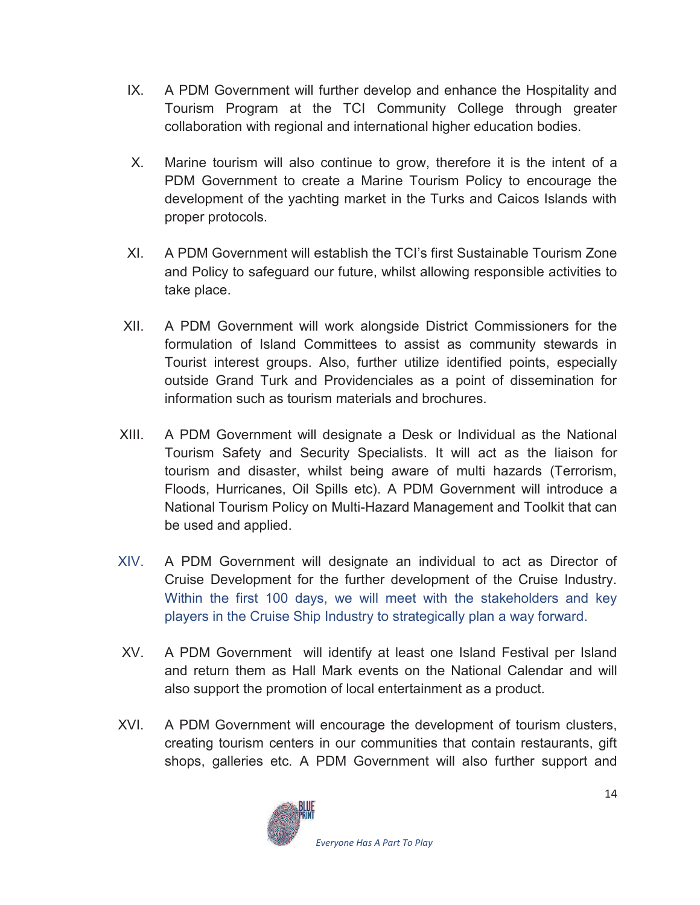- IX. A PDM Government will further develop and enhance the Hospitality and Tourism Program at the TCI Community College through greater collaboration with regional and international higher education bodies.
- X. Marine tourism will also continue to grow, therefore it is the intent of a PDM Government to create a Marine Tourism Policy to encourage the development of the yachting market in the Turks and Caicos Islands with proper protocols.
- XI. A PDM Government will establish the TCI's first Sustainable Tourism Zone and Policy to safeguard our future, whilst allowing responsible activities to take place.
- XII. A PDM Government will work alongside District Commissioners for the formulation of Island Committees to assist as community stewards in Tourist interest groups. Also, further utilize identified points, especially outside Grand Turk and Providenciales as a point of dissemination for information such as tourism materials and brochures.
- XIII. A PDM Government will designate a Desk or Individual as the National Tourism Safety and Security Specialists. It will act as the liaison for tourism and disaster, whilst being aware of multi hazards (Terrorism, Floods, Hurricanes, Oil Spills etc). A PDM Government will introduce a National Tourism Policy on Multi-Hazard Management and Toolkit that can be used and applied.
- XIV. A PDM Government will designate an individual to act as Director of Cruise Development for the further development of the Cruise Industry. Within the first 100 days, we will meet with the stakeholders and key players in the Cruise Ship Industry to strategically plan a way forward.
- XV. A PDM Government will identify at least one Island Festival per Island and return them as Hall Mark events on the National Calendar and will also support the promotion of local entertainment as a product.
- XVI. A PDM Government will encourage the development of tourism clusters, creating tourism centers in our communities that contain restaurants, gift shops, galleries etc. A PDM Government will also further support and

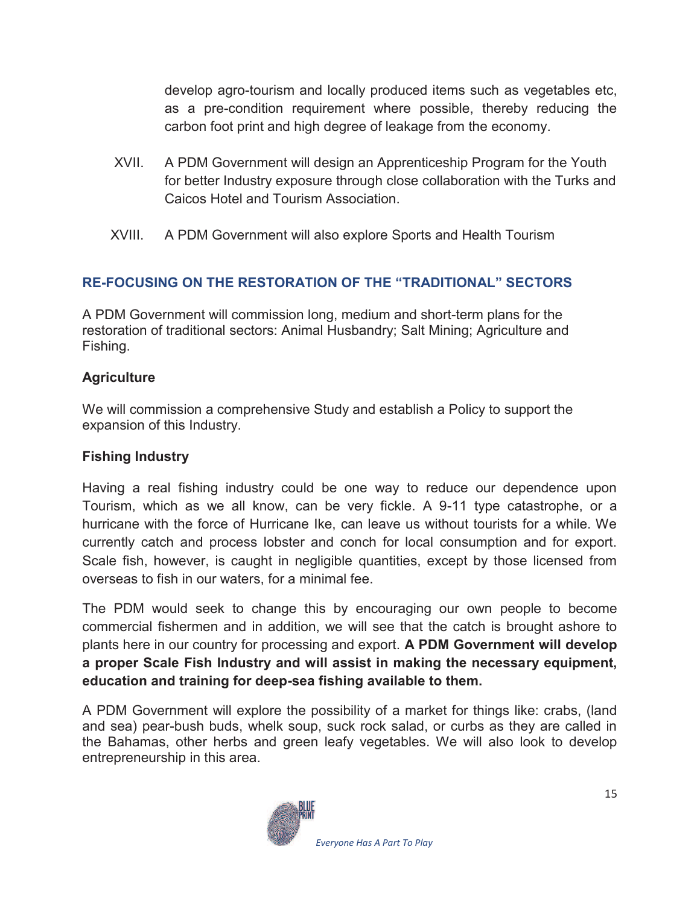develop agro-tourism and locally produced items such as vegetables etc, as a pre-condition requirement where possible, thereby reducing the carbon foot print and high degree of leakage from the economy.

- XVII. A PDM Government will design an Apprenticeship Program for the Youth for better Industry exposure through close collaboration with the Turks and Caicos Hotel and Tourism Association.
- XVIII. A PDM Government will also explore Sports and Health Tourism

## **RE-FOCUSING ON THE RESTORATION OF THE "TRADITIONAL" SECTORS**

A PDM Government will commission long, medium and short-term plans for the restoration of traditional sectors: Animal Husbandry; Salt Mining; Agriculture and Fishing.

#### **Agriculture**

We will commission a comprehensive Study and establish a Policy to support the expansion of this Industry.

## **Fishing Industry**

Having a real fishing industry could be one way to reduce our dependence upon Tourism, which as we all know, can be very fickle. A 9-11 type catastrophe, or a hurricane with the force of Hurricane Ike, can leave us without tourists for a while. We currently catch and process lobster and conch for local consumption and for export. Scale fish, however, is caught in negligible quantities, except by those licensed from overseas to fish in our waters, for a minimal fee.

The PDM would seek to change this by encouraging our own people to become commercial fishermen and in addition, we will see that the catch is brought ashore to plants here in our country for processing and export. **A PDM Government will develop a proper Scale Fish Industry and will assist in making the necessary equipment, education and training for deep-sea fishing available to them.** 

A PDM Government will explore the possibility of a market for things like: crabs, (land and sea) pear-bush buds, whelk soup, suck rock salad, or curbs as they are called in the Bahamas, other herbs and green leafy vegetables. We will also look to develop entrepreneurship in this area.

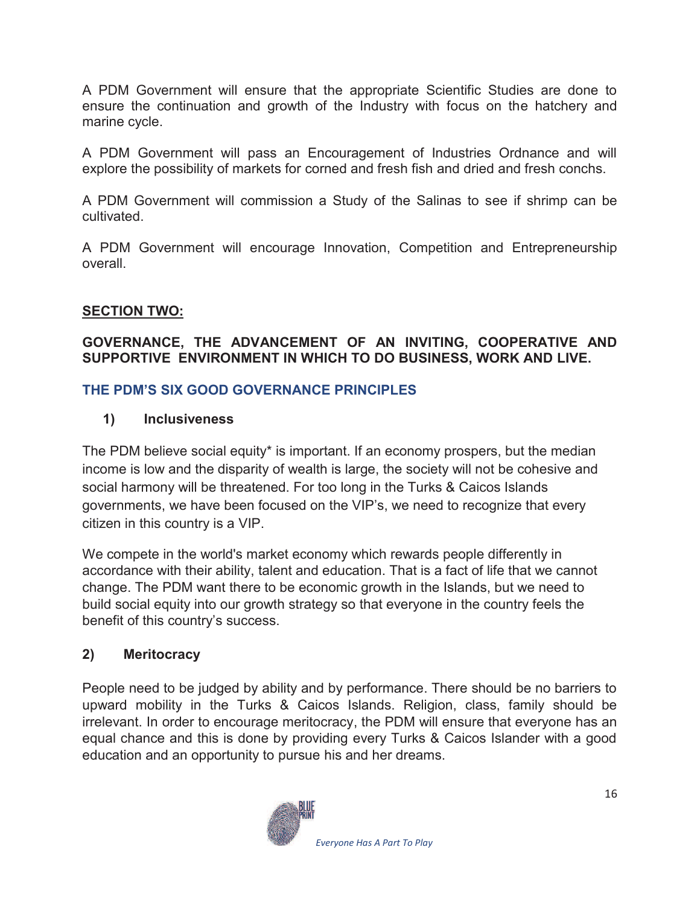A PDM Government will ensure that the appropriate Scientific Studies are done to ensure the continuation and growth of the Industry with focus on the hatchery and marine cycle.

A PDM Government will pass an Encouragement of Industries Ordnance and will explore the possibility of markets for corned and fresh fish and dried and fresh conchs.

A PDM Government will commission a Study of the Salinas to see if shrimp can be cultivated.

A PDM Government will encourage Innovation, Competition and Entrepreneurship overall.

## **SECTION TWO:**

## **GOVERNANCE, THE ADVANCEMENT OF AN INVITING, COOPERATIVE AND SUPPORTIVE ENVIRONMENT IN WHICH TO DO BUSINESS, WORK AND LIVE.**

### **THE PDM'S SIX GOOD GOVERNANCE PRINCIPLES**

## **1) Inclusiveness**

The PDM believe social equity\* is important. If an economy prospers, but the median income is low and the disparity of wealth is large, the society will not be cohesive and social harmony will be threatened. For too long in the Turks & Caicos Islands governments, we have been focused on the VIP's, we need to recognize that every citizen in this country is a VIP.

We compete in the world's market economy which rewards people differently in accordance with their ability, talent and education. That is a fact of life that we cannot change. The PDM want there to be economic growth in the Islands, but we need to build social equity into our growth strategy so that everyone in the country feels the benefit of this country's success.

## **2) Meritocracy**

People need to be judged by ability and by performance. There should be no barriers to upward mobility in the Turks & Caicos Islands. Religion, class, family should be irrelevant. In order to encourage meritocracy, the PDM will ensure that everyone has an equal chance and this is done by providing every Turks & Caicos Islander with a good education and an opportunity to pursue his and her dreams.

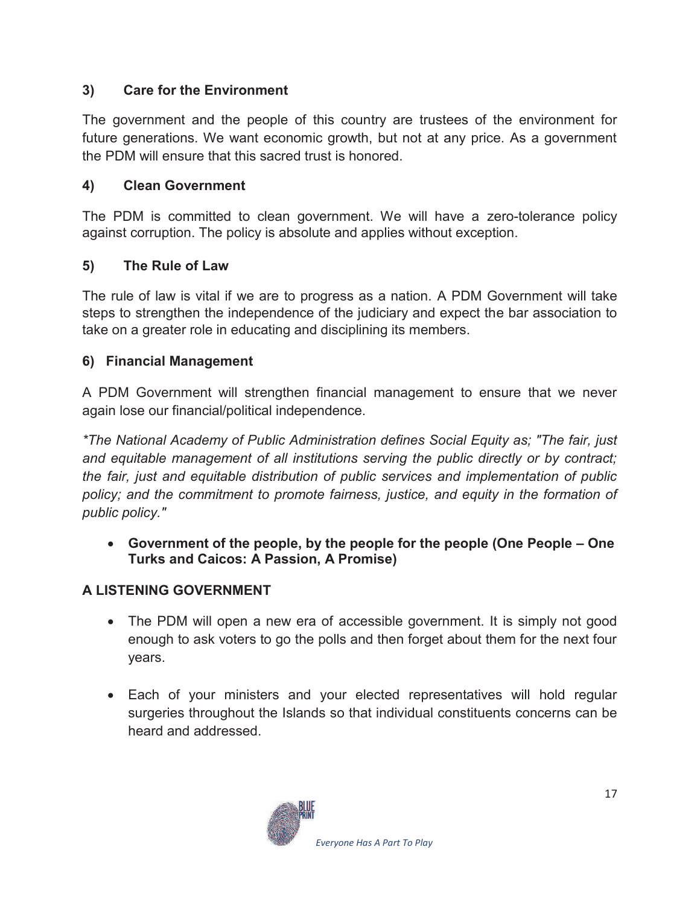## **3) Care for the Environment**

The government and the people of this country are trustees of the environment for future generations. We want economic growth, but not at any price. As a government the PDM will ensure that this sacred trust is honored.

## **4) Clean Government**

The PDM is committed to clean government. We will have a zero-tolerance policy against corruption. The policy is absolute and applies without exception.

## **5) The Rule of Law**

The rule of law is vital if we are to progress as a nation. A PDM Government will take steps to strengthen the independence of the judiciary and expect the bar association to take on a greater role in educating and disciplining its members.

## **6) Financial Management**

A PDM Government will strengthen financial management to ensure that we never again lose our financial/political independence.

*\*The National Academy of Public Administration defines Social Equity as; "The fair, just and equitable management of all institutions serving the public directly or by contract; the fair, just and equitable distribution of public services and implementation of public policy; and the commitment to promote fairness, justice, and equity in the formation of public policy."*

· **Government of the people, by the people for the people (One People – One Turks and Caicos: A Passion, A Promise)** 

## **A LISTENING GOVERNMENT**

- The PDM will open a new era of accessible government. It is simply not good enough to ask voters to go the polls and then forget about them for the next four years.
- · Each of your ministers and your elected representatives will hold regular surgeries throughout the Islands so that individual constituents concerns can be heard and addressed.

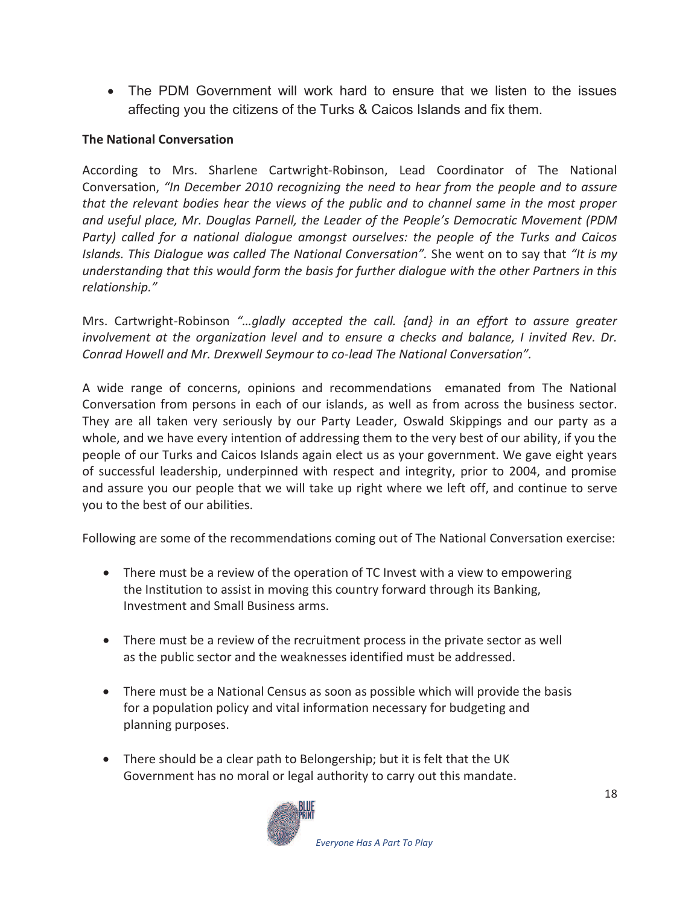· The PDM Government will work hard to ensure that we listen to the issues affecting you the citizens of the Turks & Caicos Islands and fix them.

#### **The National Conversation**

According to Mrs. Sharlene Cartwright-Robinson, Lead Coordinator of The National Conversation, *"In December 2010 recognizing the need to hear from the people and to assure that the relevant bodies hear the views of the public and to channel same in the most proper and useful place, Mr. Douglas Parnell, the Leader of the People's Democratic Movement (PDM Party) called for a national dialogue amongst ourselves: the people of the Turks and Caicos Islands. This Dialogue was called The National Conversation".* She went on to say that *"It is my understanding that this would form the basis for further dialogue with the other Partners in this relationship."*

Mrs. Cartwright-Robinson *"…gladly accepted the call. {and} in an effort to assure greater involvement at the organization level and to ensure a checks and balance, I invited Rev. Dr. Conrad Howell and Mr. Drexwell Seymour to co-lead The National Conversation".*

A wide range of concerns, opinions and recommendations emanated from The National Conversation from persons in each of our islands, as well as from across the business sector. They are all taken very seriously by our Party Leader, Oswald Skippings and our party as a whole, and we have every intention of addressing them to the very best of our ability, if you the people of our Turks and Caicos Islands again elect us as your government. We gave eight years of successful leadership, underpinned with respect and integrity, prior to 2004, and promise and assure you our people that we will take up right where we left off, and continue to serve you to the best of our abilities.

Following are some of the recommendations coming out of The National Conversation exercise:

- · There must be a review of the operation of TC Invest with a view to empowering the Institution to assist in moving this country forward through its Banking, Investment and Small Business arms.
- · There must be a review of the recruitment process in the private sector as well as the public sector and the weaknesses identified must be addressed.
- · There must be a National Census as soon as possible which will provide the basis for a population policy and vital information necessary for budgeting and planning purposes.
- There should be a clear path to Belongership; but it is felt that the UK Government has no moral or legal authority to carry out this mandate.

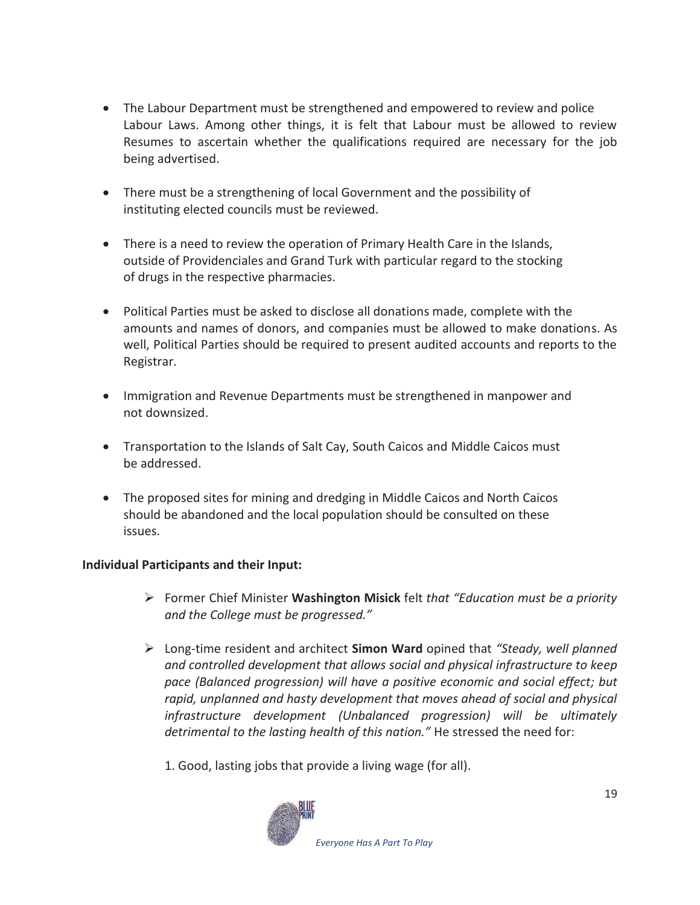- The Labour Department must be strengthened and empowered to review and police Labour Laws. Among other things, it is felt that Labour must be allowed to review Resumes to ascertain whether the qualifications required are necessary for the job being advertised.
- · There must be a strengthening of local Government and the possibility of instituting elected councils must be reviewed.
- · There is a need to review the operation of Primary Health Care in the Islands, outside of Providenciales and Grand Turk with particular regard to the stocking of drugs in the respective pharmacies.
- · Political Parties must be asked to disclose all donations made, complete with the amounts and names of donors, and companies must be allowed to make donations. As well, Political Parties should be required to present audited accounts and reports to the Registrar.
- · Immigration and Revenue Departments must be strengthened in manpower and not downsized.
- · Transportation to the Islands of Salt Cay, South Caicos and Middle Caicos must be addressed.
- The proposed sites for mining and dredging in Middle Caicos and North Caicos should be abandoned and the local population should be consulted on these issues.

#### **Individual Participants and their Input:**

- ÿ Former Chief Minister **Washington Misick** felt *that "Education must be a priority and the College must be progressed."*
- ÿ Long-time resident and architect **Simon Ward** opined that *"Steady, well planned and controlled development that allows social and physical infrastructure to keep pace (Balanced progression) will have a positive economic and social effect; but rapid, unplanned and hasty development that moves ahead of social and physical infrastructure development (Unbalanced progression) will be ultimately detrimental to the lasting health of this nation."* He stressed the need for:
	- 1. Good, lasting jobs that provide a living wage (for all).

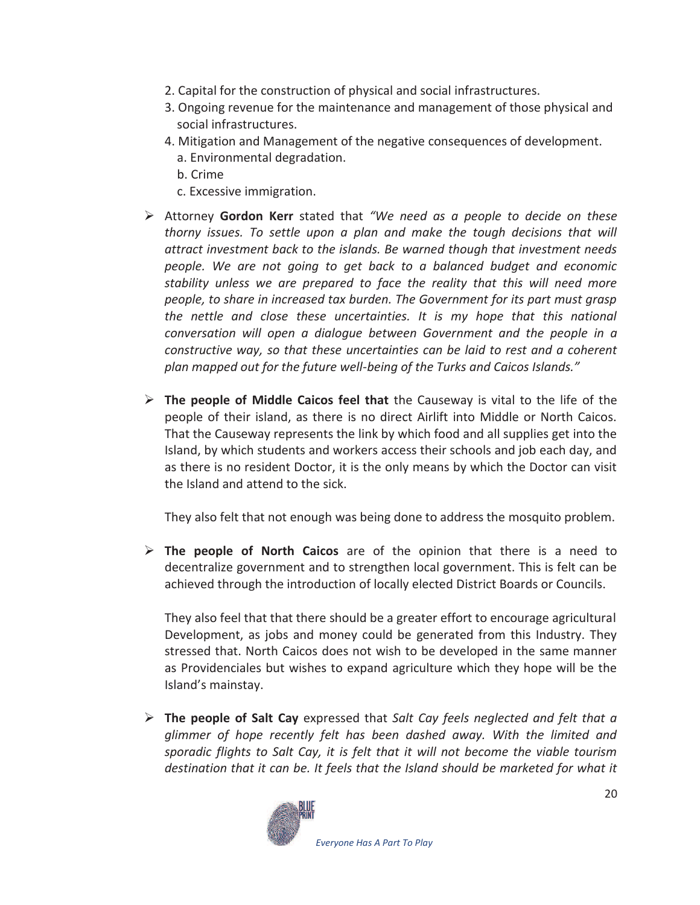- 2. Capital for the construction of physical and social infrastructures.
- 3. Ongoing revenue for the maintenance and management of those physical and social infrastructures.
- 4. Mitigation and Management of the negative consequences of development.
	- a. Environmental degradation.
	- b. Crime
	- c. Excessive immigration.
- ÿ Attorney **Gordon Kerr** stated that *"We need as a people to decide on these thorny issues. To settle upon a plan and make the tough decisions that will attract investment back to the islands. Be warned though that investment needs people. We are not going to get back to a balanced budget and economic stability unless we are prepared to face the reality that this will need more people, to share in increased tax burden. The Government for its part must grasp the nettle and close these uncertainties. It is my hope that this national conversation will open a dialogue between Government and the people in a constructive way, so that these uncertainties can be laid to rest and a coherent plan mapped out for the future well-being of the Turks and Caicos Islands."*
- ÿ **The people of Middle Caicos feel that** the Causeway is vital to the life of the people of their island, as there is no direct Airlift into Middle or North Caicos. That the Causeway represents the link by which food and all supplies get into the Island, by which students and workers access their schools and job each day, and as there is no resident Doctor, it is the only means by which the Doctor can visit the Island and attend to the sick.

They also felt that not enough was being done to address the mosquito problem.

ÿ **The people of North Caicos** are of the opinion that there is a need to decentralize government and to strengthen local government. This is felt can be achieved through the introduction of locally elected District Boards or Councils.

They also feel that that there should be a greater effort to encourage agricultural Development, as jobs and money could be generated from this Industry. They stressed that. North Caicos does not wish to be developed in the same manner as Providenciales but wishes to expand agriculture which they hope will be the Island's mainstay.

ÿ **The people of Salt Cay** expressed that *Salt Cay feels neglected and felt that a glimmer of hope recently felt has been dashed away. With the limited and sporadic flights to Salt Cay, it is felt that it will not become the viable tourism*  destination that it can be. It feels that the Island should be marketed for what it

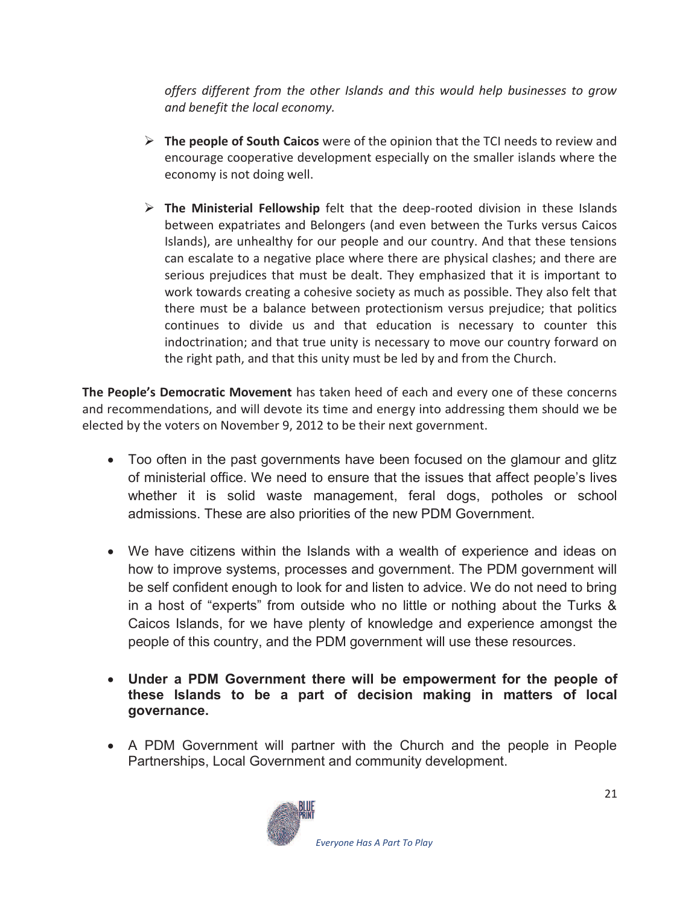*offers different from the other Islands and this would help businesses to grow and benefit the local economy.* 

- ÿ **The people of South Caicos** were of the opinion that the TCI needs to review and encourage cooperative development especially on the smaller islands where the economy is not doing well.
- ÿ **The Ministerial Fellowship** felt that the deep-rooted division in these Islands between expatriates and Belongers (and even between the Turks versus Caicos Islands), are unhealthy for our people and our country. And that these tensions can escalate to a negative place where there are physical clashes; and there are serious prejudices that must be dealt. They emphasized that it is important to work towards creating a cohesive society as much as possible. They also felt that there must be a balance between protectionism versus prejudice; that politics continues to divide us and that education is necessary to counter this indoctrination; and that true unity is necessary to move our country forward on the right path, and that this unity must be led by and from the Church.

**The People's Democratic Movement** has taken heed of each and every one of these concerns and recommendations, and will devote its time and energy into addressing them should we be elected by the voters on November 9, 2012 to be their next government.

- Too often in the past governments have been focused on the glamour and glitz of ministerial office. We need to ensure that the issues that affect people's lives whether it is solid waste management, feral dogs, potholes or school admissions. These are also priorities of the new PDM Government.
- · We have citizens within the Islands with a wealth of experience and ideas on how to improve systems, processes and government. The PDM government will be self confident enough to look for and listen to advice. We do not need to bring in a host of "experts" from outside who no little or nothing about the Turks & Caicos Islands, for we have plenty of knowledge and experience amongst the people of this country, and the PDM government will use these resources.
- · **Under a PDM Government there will be empowerment for the people of these Islands to be a part of decision making in matters of local governance.**
- · A PDM Government will partner with the Church and the people in People Partnerships, Local Government and community development.

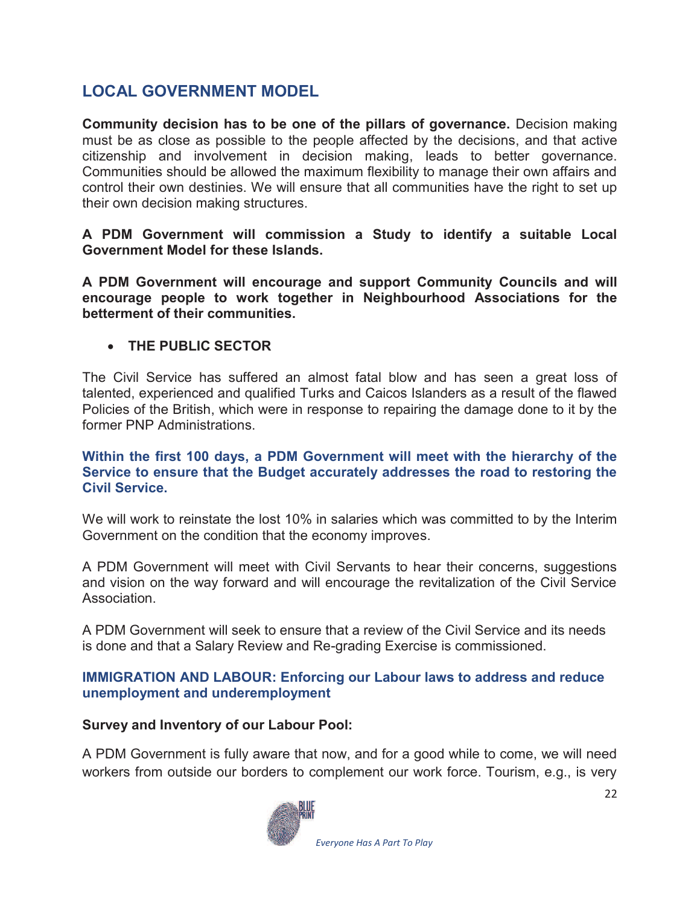## **LOCAL GOVERNMENT MODEL**

**Community decision has to be one of the pillars of governance.** Decision making must be as close as possible to the people affected by the decisions, and that active citizenship and involvement in decision making, leads to better governance. Communities should be allowed the maximum flexibility to manage their own affairs and control their own destinies. We will ensure that all communities have the right to set up their own decision making structures.

**A PDM Government will commission a Study to identify a suitable Local Government Model for these Islands.** 

**A PDM Government will encourage and support Community Councils and will encourage people to work together in Neighbourhood Associations for the betterment of their communities.** 

#### · **THE PUBLIC SECTOR**

The Civil Service has suffered an almost fatal blow and has seen a great loss of talented, experienced and qualified Turks and Caicos Islanders as a result of the flawed Policies of the British, which were in response to repairing the damage done to it by the former PNP Administrations.

#### **Within the first 100 days, a PDM Government will meet with the hierarchy of the Service to ensure that the Budget accurately addresses the road to restoring the Civil Service.**

We will work to reinstate the lost 10% in salaries which was committed to by the Interim Government on the condition that the economy improves.

A PDM Government will meet with Civil Servants to hear their concerns, suggestions and vision on the way forward and will encourage the revitalization of the Civil Service Association.

A PDM Government will seek to ensure that a review of the Civil Service and its needs is done and that a Salary Review and Re-grading Exercise is commissioned.

#### **IMMIGRATION AND LABOUR: Enforcing our Labour laws to address and reduce unemployment and underemployment**

#### **Survey and Inventory of our Labour Pool:**

A PDM Government is fully aware that now, and for a good while to come, we will need workers from outside our borders to complement our work force. Tourism, e.g., is very

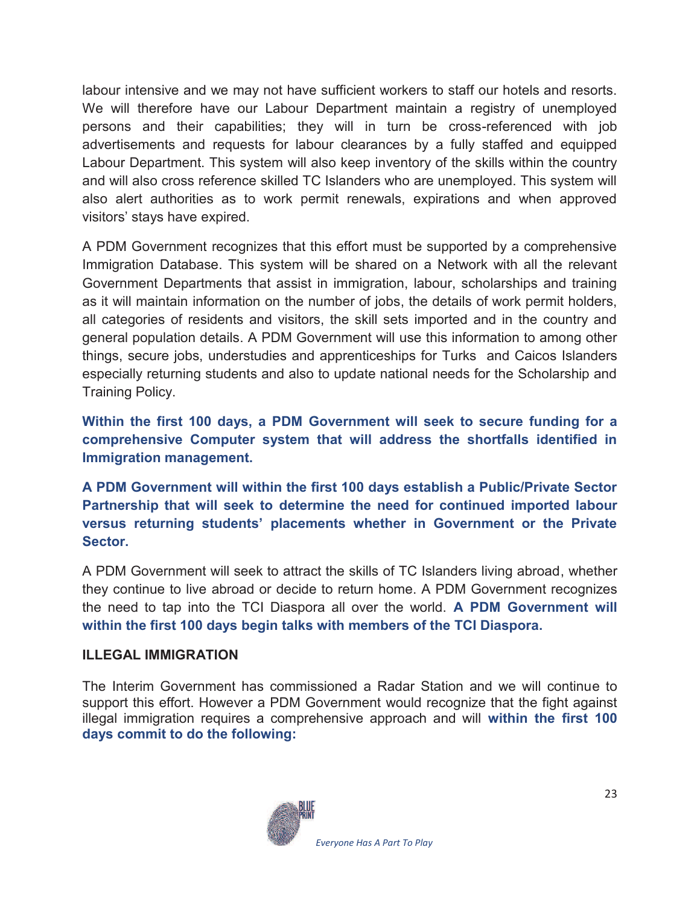labour intensive and we may not have sufficient workers to staff our hotels and resorts. We will therefore have our Labour Department maintain a registry of unemployed persons and their capabilities; they will in turn be cross-referenced with job advertisements and requests for labour clearances by a fully staffed and equipped Labour Department. This system will also keep inventory of the skills within the country and will also cross reference skilled TC Islanders who are unemployed. This system will also alert authorities as to work permit renewals, expirations and when approved visitors' stays have expired.

A PDM Government recognizes that this effort must be supported by a comprehensive Immigration Database. This system will be shared on a Network with all the relevant Government Departments that assist in immigration, labour, scholarships and training as it will maintain information on the number of jobs, the details of work permit holders, all categories of residents and visitors, the skill sets imported and in the country and general population details. A PDM Government will use this information to among other things, secure jobs, understudies and apprenticeships for Turks and Caicos Islanders especially returning students and also to update national needs for the Scholarship and Training Policy.

**Within the first 100 days, a PDM Government will seek to secure funding for a comprehensive Computer system that will address the shortfalls identified in Immigration management.** 

**A PDM Government will within the first 100 days establish a Public/Private Sector Partnership that will seek to determine the need for continued imported labour versus returning students' placements whether in Government or the Private Sector.** 

A PDM Government will seek to attract the skills of TC Islanders living abroad, whether they continue to live abroad or decide to return home. A PDM Government recognizes the need to tap into the TCI Diaspora all over the world. **A PDM Government will within the first 100 days begin talks with members of the TCI Diaspora.** 

#### **ILLEGAL IMMIGRATION**

The Interim Government has commissioned a Radar Station and we will continue to support this effort. However a PDM Government would recognize that the fight against illegal immigration requires a comprehensive approach and will **within the first 100 days commit to do the following:** 

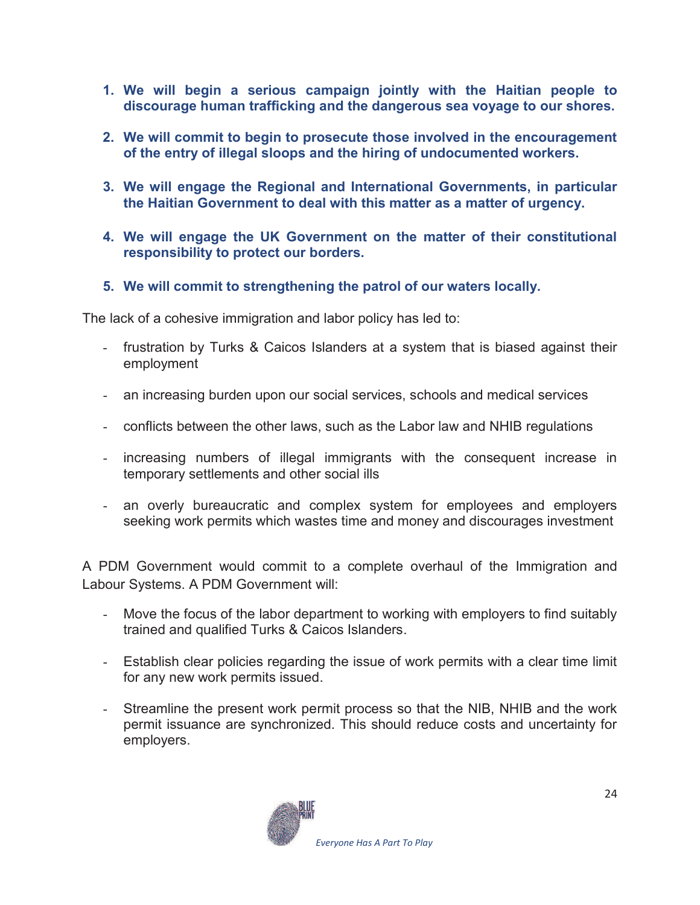- **1. We will begin a serious campaign jointly with the Haitian people to discourage human trafficking and the dangerous sea voyage to our shores.**
- **2. We will commit to begin to prosecute those involved in the encouragement of the entry of illegal sloops and the hiring of undocumented workers.**
- **3. We will engage the Regional and International Governments, in particular the Haitian Government to deal with this matter as a matter of urgency.**
- **4. We will engage the UK Government on the matter of their constitutional responsibility to protect our borders.**
- **5. We will commit to strengthening the patrol of our waters locally.**

The lack of a cohesive immigration and labor policy has led to:

- frustration by Turks & Caicos Islanders at a system that is biased against their employment
- an increasing burden upon our social services, schools and medical services
- conflicts between the other laws, such as the Labor law and NHIB regulations
- increasing numbers of illegal immigrants with the consequent increase in temporary settlements and other social ills
- an overly bureaucratic and complex system for employees and employers seeking work permits which wastes time and money and discourages investment

A PDM Government would commit to a complete overhaul of the Immigration and Labour Systems. A PDM Government will:

- Move the focus of the labor department to working with employers to find suitably trained and qualified Turks & Caicos Islanders.
- Establish clear policies regarding the issue of work permits with a clear time limit for any new work permits issued.
- Streamline the present work permit process so that the NIB, NHIB and the work permit issuance are synchronized. This should reduce costs and uncertainty for employers.

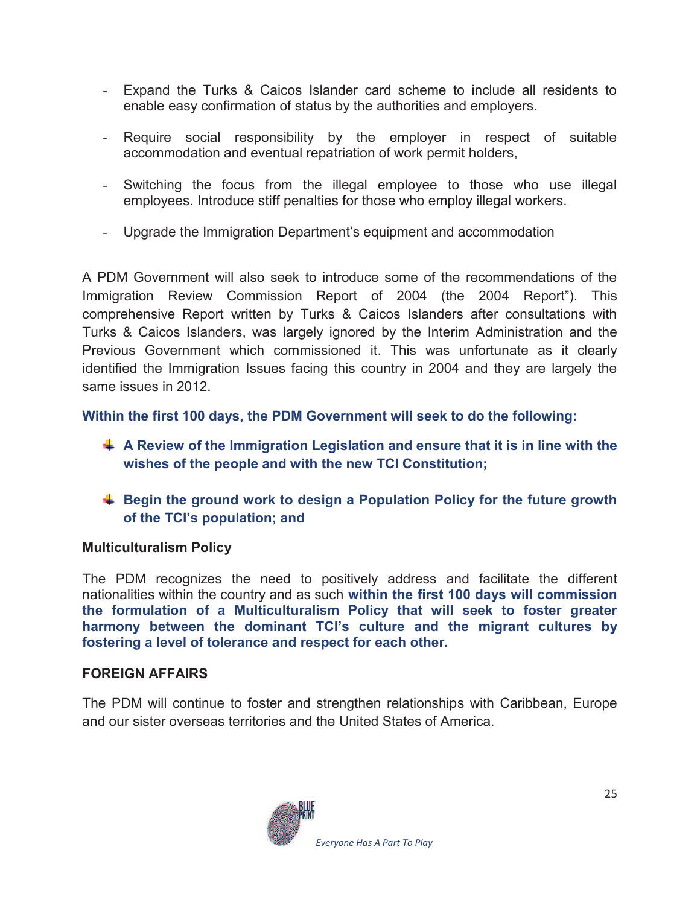- Expand the Turks & Caicos Islander card scheme to include all residents to enable easy confirmation of status by the authorities and employers.
- Require social responsibility by the employer in respect of suitable accommodation and eventual repatriation of work permit holders,
- Switching the focus from the illegal employee to those who use illegal employees. Introduce stiff penalties for those who employ illegal workers.
- Upgrade the Immigration Department's equipment and accommodation

A PDM Government will also seek to introduce some of the recommendations of the Immigration Review Commission Report of 2004 (the 2004 Report"). This comprehensive Report written by Turks & Caicos Islanders after consultations with Turks & Caicos Islanders, was largely ignored by the Interim Administration and the Previous Government which commissioned it. This was unfortunate as it clearly identified the Immigration Issues facing this country in 2004 and they are largely the same issues in 2012.

**Within the first 100 days, the PDM Government will seek to do the following:** 

- **A Review of the Immigration Legislation and ensure that it is in line with the wishes of the people and with the new TCI Constitution;**
- **Begin the ground work to design a Population Policy for the future growth of the TCI's population; and**

#### **Multiculturalism Policy**

The PDM recognizes the need to positively address and facilitate the different nationalities within the country and as such **within the first 100 days will commission the formulation of a Multiculturalism Policy that will seek to foster greater harmony between the dominant TCI's culture and the migrant cultures by fostering a level of tolerance and respect for each other.** 

#### **FOREIGN AFFAIRS**

The PDM will continue to foster and strengthen relationships with Caribbean, Europe and our sister overseas territories and the United States of America.

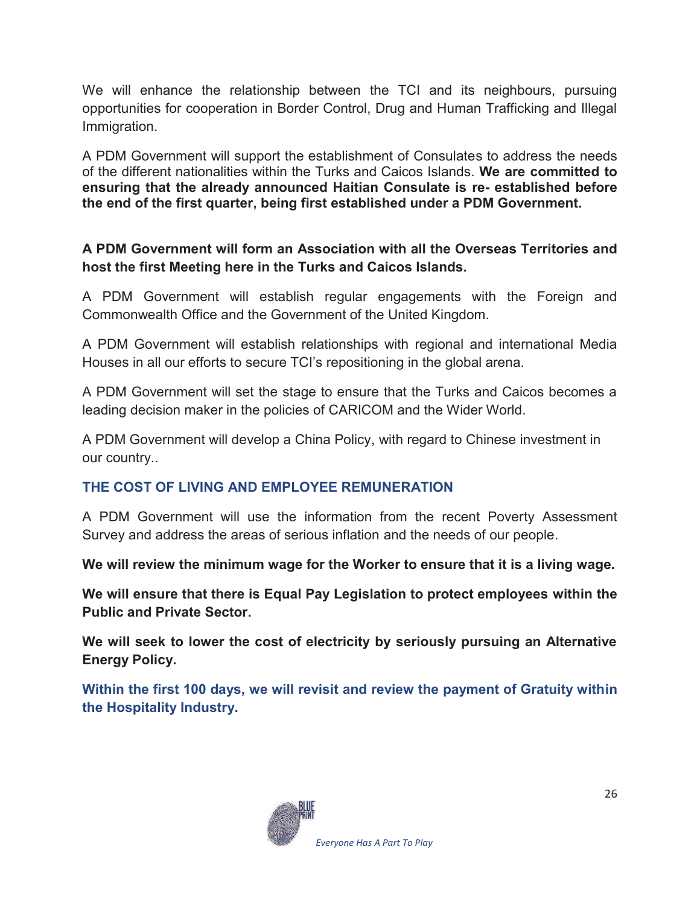We will enhance the relationship between the TCI and its neighbours, pursuing opportunities for cooperation in Border Control, Drug and Human Trafficking and Illegal Immigration.

A PDM Government will support the establishment of Consulates to address the needs of the different nationalities within the Turks and Caicos Islands. **We are committed to ensuring that the already announced Haitian Consulate is re- established before the end of the first quarter, being first established under a PDM Government.** 

### **A PDM Government will form an Association with all the Overseas Territories and host the first Meeting here in the Turks and Caicos Islands.**

A PDM Government will establish regular engagements with the Foreign and Commonwealth Office and the Government of the United Kingdom.

A PDM Government will establish relationships with regional and international Media Houses in all our efforts to secure TCI's repositioning in the global arena.

A PDM Government will set the stage to ensure that the Turks and Caicos becomes a leading decision maker in the policies of CARICOM and the Wider World.

A PDM Government will develop a China Policy, with regard to Chinese investment in our country..

## **THE COST OF LIVING AND EMPLOYEE REMUNERATION**

A PDM Government will use the information from the recent Poverty Assessment Survey and address the areas of serious inflation and the needs of our people.

**We will review the minimum wage for the Worker to ensure that it is a living wage.** 

**We will ensure that there is Equal Pay Legislation to protect employees within the Public and Private Sector.** 

**We will seek to lower the cost of electricity by seriously pursuing an Alternative Energy Policy.** 

**Within the first 100 days, we will revisit and review the payment of Gratuity within the Hospitality Industry.** 

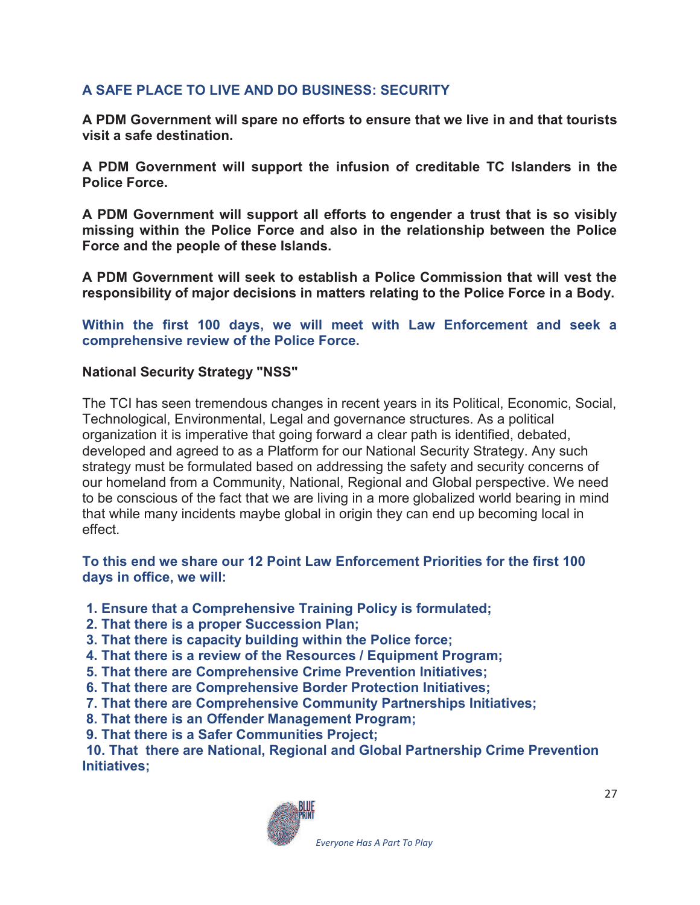## **A SAFE PLACE TO LIVE AND DO BUSINESS: SECURITY**

**A PDM Government will spare no efforts to ensure that we live in and that tourists visit a safe destination.** 

**A PDM Government will support the infusion of creditable TC Islanders in the Police Force.** 

**A PDM Government will support all efforts to engender a trust that is so visibly missing within the Police Force and also in the relationship between the Police Force and the people of these Islands.** 

**A PDM Government will seek to establish a Police Commission that will vest the responsibility of major decisions in matters relating to the Police Force in a Body.** 

**Within the first 100 days, we will meet with Law Enforcement and seek a comprehensive review of the Police Force.** 

#### **National Security Strategy "NSS"**

The TCI has seen tremendous changes in recent years in its Political, Economic, Social, Technological, Environmental, Legal and governance structures. As a political organization it is imperative that going forward a clear path is identified, debated, developed and agreed to as a Platform for our National Security Strategy. Any such strategy must be formulated based on addressing the safety and security concerns of our homeland from a Community, National, Regional and Global perspective. We need to be conscious of the fact that we are living in a more globalized world bearing in mind that while many incidents maybe global in origin they can end up becoming local in effect.

#### **To this end we share our 12 Point Law Enforcement Priorities for the first 100 days in office, we will:**

- **1. Ensure that a Comprehensive Training Policy is formulated;**
- **2. That there is a proper Succession Plan;**
- **3. That there is capacity building within the Police force;**
- **4. That there is a review of the Resources / Equipment Program;**
- **5. That there are Comprehensive Crime Prevention Initiatives;**
- **6. That there are Comprehensive Border Protection Initiatives;**
- **7. That there are Comprehensive Community Partnerships Initiatives;**
- **8. That there is an Offender Management Program;**
- **9. That there is a Safer Communities Project;**

 **10. That there are National, Regional and Global Partnership Crime Prevention Initiatives;** 

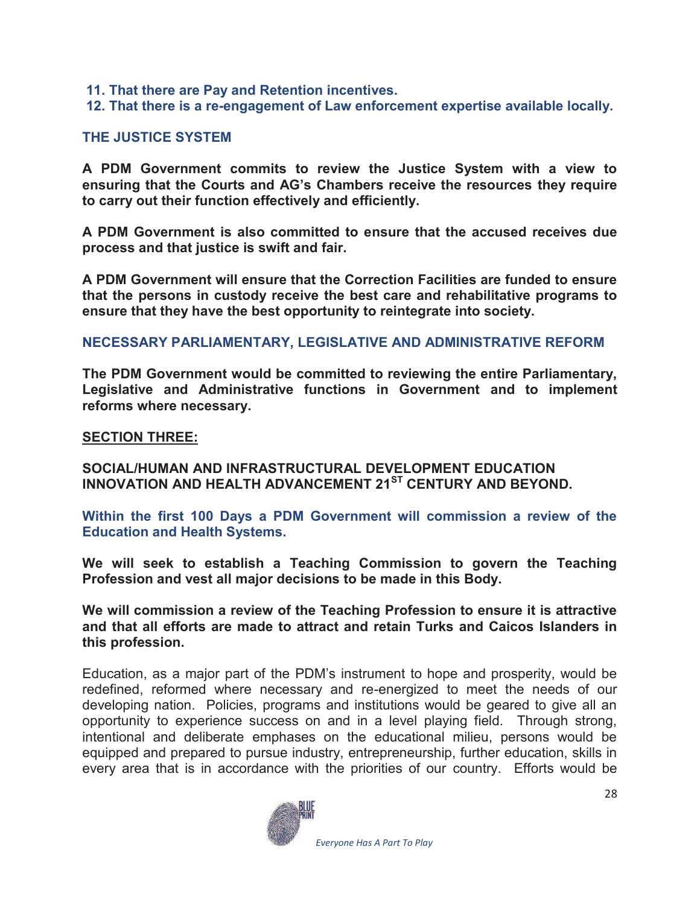- **11. That there are Pay and Retention incentives.**
- **12. That there is a re-engagement of Law enforcement expertise available locally.**

#### **THE JUSTICE SYSTEM**

**A PDM Government commits to review the Justice System with a view to ensuring that the Courts and AG's Chambers receive the resources they require to carry out their function effectively and efficiently.** 

**A PDM Government is also committed to ensure that the accused receives due process and that justice is swift and fair.** 

**A PDM Government will ensure that the Correction Facilities are funded to ensure that the persons in custody receive the best care and rehabilitative programs to ensure that they have the best opportunity to reintegrate into society.** 

#### **NECESSARY PARLIAMENTARY, LEGISLATIVE AND ADMINISTRATIVE REFORM**

**The PDM Government would be committed to reviewing the entire Parliamentary, Legislative and Administrative functions in Government and to implement reforms where necessary.** 

#### **SECTION THREE:**

**SOCIAL/HUMAN AND INFRASTRUCTURAL DEVELOPMENT EDUCATION INNOVATION AND HEALTH ADVANCEMENT 21ST CENTURY AND BEYOND.** 

**Within the first 100 Days a PDM Government will commission a review of the Education and Health Systems.** 

**We will seek to establish a Teaching Commission to govern the Teaching Profession and vest all major decisions to be made in this Body.** 

**We will commission a review of the Teaching Profession to ensure it is attractive and that all efforts are made to attract and retain Turks and Caicos Islanders in this profession.** 

Education, as a major part of the PDM's instrument to hope and prosperity, would be redefined, reformed where necessary and re-energized to meet the needs of our developing nation. Policies, programs and institutions would be geared to give all an opportunity to experience success on and in a level playing field. Through strong, intentional and deliberate emphases on the educational milieu, persons would be equipped and prepared to pursue industry, entrepreneurship, further education, skills in every area that is in accordance with the priorities of our country. Efforts would be

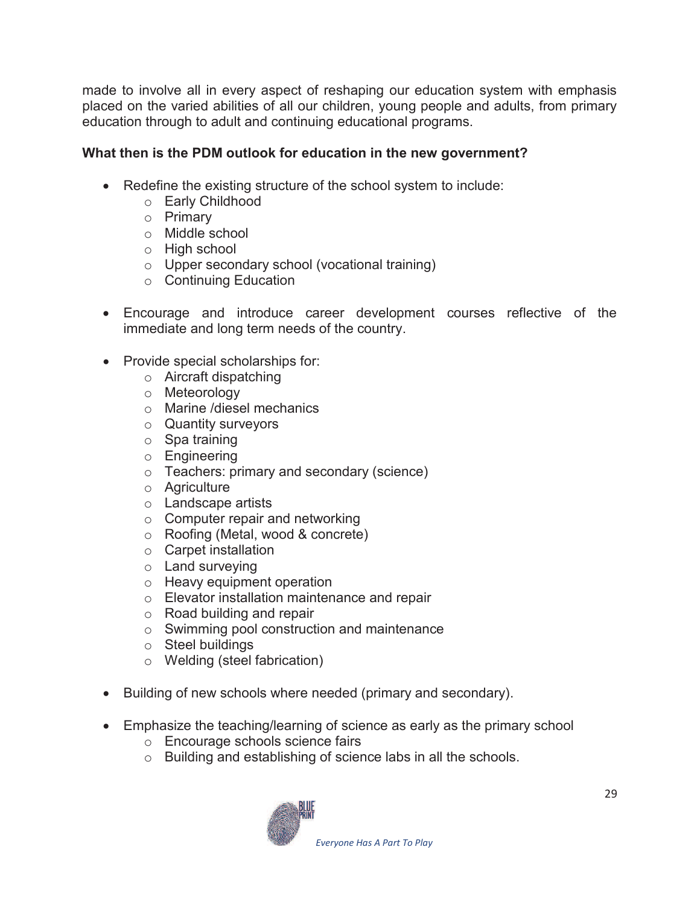made to involve all in every aspect of reshaping our education system with emphasis placed on the varied abilities of all our children, young people and adults, from primary education through to adult and continuing educational programs.

## **What then is the PDM outlook for education in the new government?**

- · Redefine the existing structure of the school system to include:
	- o Early Childhood
	- o Primary
	- o Middle school
	- o High school
	- o Upper secondary school (vocational training)
	- o Continuing Education
- · Encourage and introduce career development courses reflective of the immediate and long term needs of the country.
- · Provide special scholarships for:
	- o Aircraft dispatching
	- o Meteorology
	- o Marine /diesel mechanics
	- o Quantity surveyors
	- o Spa training
	- o Engineering
	- o Teachers: primary and secondary (science)
	- o Agriculture
	- o Landscape artists
	- o Computer repair and networking
	- o Roofing (Metal, wood & concrete)
	- o Carpet installation
	- o Land surveying
	- o Heavy equipment operation
	- o Elevator installation maintenance and repair
	- o Road building and repair
	- o Swimming pool construction and maintenance
	- o Steel buildings
	- o Welding (steel fabrication)
- · Building of new schools where needed (primary and secondary).
- · Emphasize the teaching/learning of science as early as the primary school
	- o Encourage schools science fairs
	- o Building and establishing of science labs in all the schools.

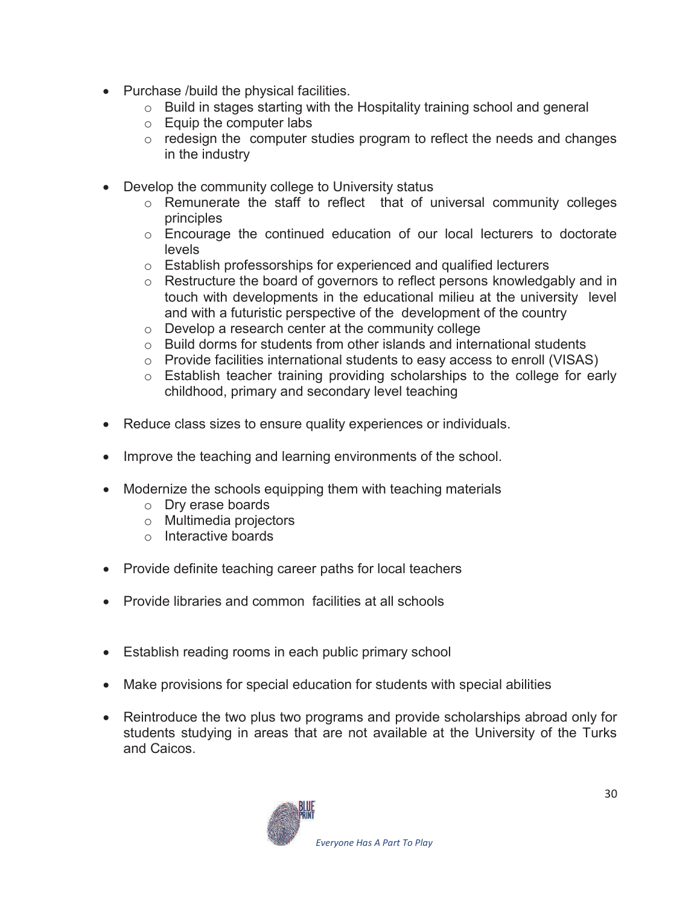- · Purchase /build the physical facilities.
	- o Build in stages starting with the Hospitality training school and general
	- o Equip the computer labs
	- o redesign the computer studies program to reflect the needs and changes in the industry
- · Develop the community college to University status
	- o Remunerate the staff to reflect that of universal community colleges principles
	- o Encourage the continued education of our local lecturers to doctorate levels
	- o Establish professorships for experienced and qualified lecturers
	- o Restructure the board of governors to reflect persons knowledgably and in touch with developments in the educational milieu at the university level and with a futuristic perspective of the development of the country
	- o Develop a research center at the community college
	- o Build dorms for students from other islands and international students
	- o Provide facilities international students to easy access to enroll (VISAS)
	- o Establish teacher training providing scholarships to the college for early childhood, primary and secondary level teaching
- · Reduce class sizes to ensure quality experiences or individuals.
- Improve the teaching and learning environments of the school.
- Modernize the schools equipping them with teaching materials
	- o Dry erase boards
	- o Multimedia projectors
	- o Interactive boards
- Provide definite teaching career paths for local teachers
- · Provide libraries and common facilities at all schools
- Establish reading rooms in each public primary school
- · Make provisions for special education for students with special abilities
- · Reintroduce the two plus two programs and provide scholarships abroad only for students studying in areas that are not available at the University of the Turks and Caicos.

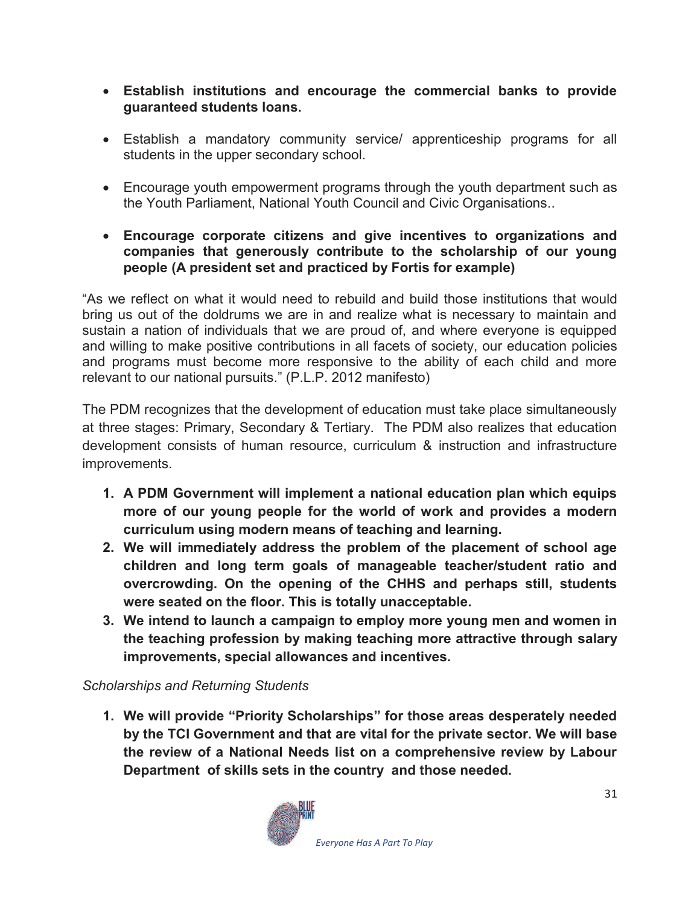- · **Establish institutions and encourage the commercial banks to provide guaranteed students loans.**
- · Establish a mandatory community service/ apprenticeship programs for all students in the upper secondary school.
- · Encourage youth empowerment programs through the youth department such as the Youth Parliament, National Youth Council and Civic Organisations..
- · **Encourage corporate citizens and give incentives to organizations and companies that generously contribute to the scholarship of our young people (A president set and practiced by Fortis for example)**

"As we reflect on what it would need to rebuild and build those institutions that would bring us out of the doldrums we are in and realize what is necessary to maintain and sustain a nation of individuals that we are proud of, and where everyone is equipped and willing to make positive contributions in all facets of society, our education policies and programs must become more responsive to the ability of each child and more relevant to our national pursuits." (P.L.P. 2012 manifesto)

The PDM recognizes that the development of education must take place simultaneously at three stages: Primary, Secondary & Tertiary. The PDM also realizes that education development consists of human resource, curriculum & instruction and infrastructure improvements.

- **1. A PDM Government will implement a national education plan which equips more of our young people for the world of work and provides a modern curriculum using modern means of teaching and learning.**
- **2. We will immediately address the problem of the placement of school age children and long term goals of manageable teacher/student ratio and overcrowding. On the opening of the CHHS and perhaps still, students were seated on the floor. This is totally unacceptable.**
- **3. We intend to launch a campaign to employ more young men and women in the teaching profession by making teaching more attractive through salary improvements, special allowances and incentives.**

## *Scholarships and Returning Students*

**1. We will provide "Priority Scholarships" for those areas desperately needed by the TCI Government and that are vital for the private sector. We will base the review of a National Needs list on a comprehensive review by Labour Department of skills sets in the country and those needed.** 

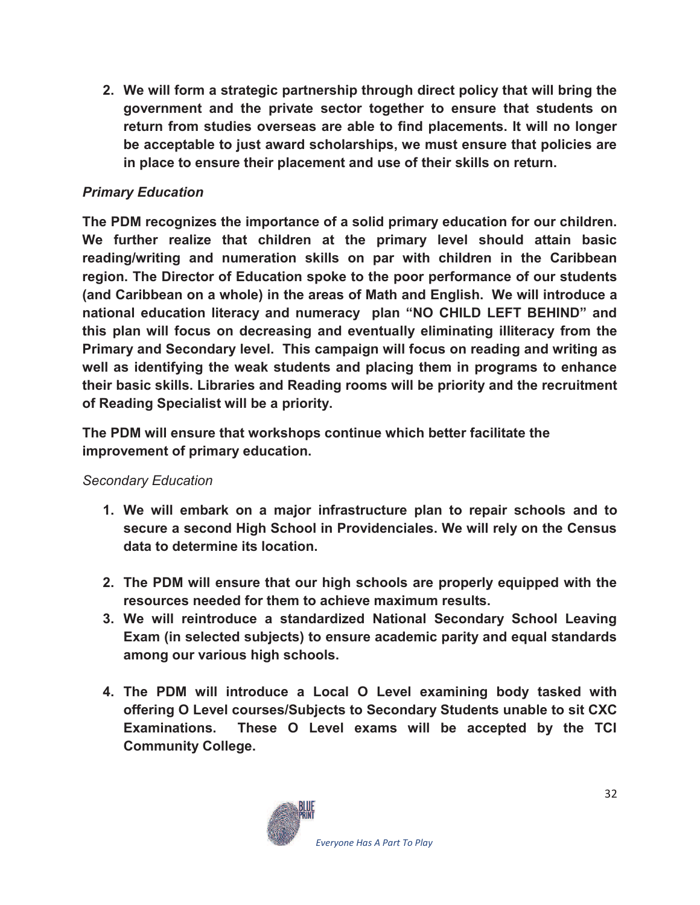**2. We will form a strategic partnership through direct policy that will bring the government and the private sector together to ensure that students on return from studies overseas are able to find placements. It will no longer be acceptable to just award scholarships, we must ensure that policies are in place to ensure their placement and use of their skills on return.** 

## *Primary Education*

**The PDM recognizes the importance of a solid primary education for our children. We further realize that children at the primary level should attain basic reading/writing and numeration skills on par with children in the Caribbean region. The Director of Education spoke to the poor performance of our students (and Caribbean on a whole) in the areas of Math and English. We will introduce a national education literacy and numeracy plan "NO CHILD LEFT BEHIND" and this plan will focus on decreasing and eventually eliminating illiteracy from the Primary and Secondary level. This campaign will focus on reading and writing as well as identifying the weak students and placing them in programs to enhance their basic skills. Libraries and Reading rooms will be priority and the recruitment of Reading Specialist will be a priority.** 

**The PDM will ensure that workshops continue which better facilitate the improvement of primary education.** 

#### *Secondary Education*

- **1. We will embark on a major infrastructure plan to repair schools and to secure a second High School in Providenciales. We will rely on the Census data to determine its location.**
- **2. The PDM will ensure that our high schools are properly equipped with the resources needed for them to achieve maximum results.**
- **3. We will reintroduce a standardized National Secondary School Leaving Exam (in selected subjects) to ensure academic parity and equal standards among our various high schools.**
- **4. The PDM will introduce a Local O Level examining body tasked with offering O Level courses/Subjects to Secondary Students unable to sit CXC Examinations. These O Level exams will be accepted by the TCI Community College.**

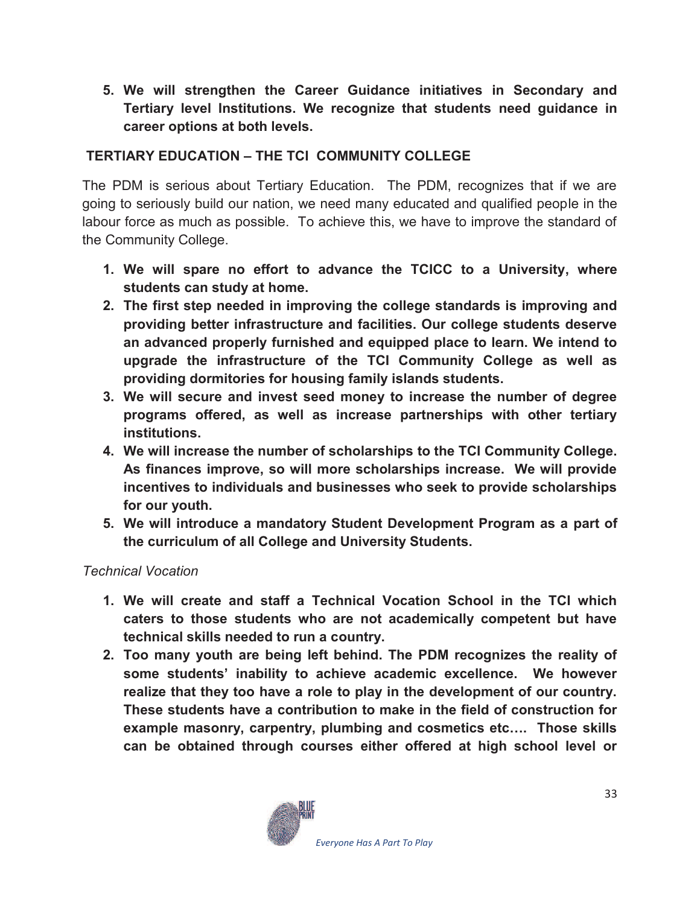**5. We will strengthen the Career Guidance initiatives in Secondary and Tertiary level Institutions. We recognize that students need guidance in career options at both levels.** 

## **TERTIARY EDUCATION – THE TCI COMMUNITY COLLEGE**

The PDM is serious about Tertiary Education. The PDM, recognizes that if we are going to seriously build our nation, we need many educated and qualified people in the labour force as much as possible. To achieve this, we have to improve the standard of the Community College.

- **1. We will spare no effort to advance the TCICC to a University, where students can study at home.**
- **2. The first step needed in improving the college standards is improving and providing better infrastructure and facilities. Our college students deserve an advanced properly furnished and equipped place to learn. We intend to upgrade the infrastructure of the TCI Community College as well as providing dormitories for housing family islands students.**
- **3. We will secure and invest seed money to increase the number of degree programs offered, as well as increase partnerships with other tertiary institutions.**
- **4. We will increase the number of scholarships to the TCI Community College. As finances improve, so will more scholarships increase. We will provide incentives to individuals and businesses who seek to provide scholarships for our youth.**
- **5. We will introduce a mandatory Student Development Program as a part of the curriculum of all College and University Students.**

#### *Technical Vocation*

- **1. We will create and staff a Technical Vocation School in the TCI which caters to those students who are not academically competent but have technical skills needed to run a country.**
- **2. Too many youth are being left behind. The PDM recognizes the reality of some students' inability to achieve academic excellence. We however realize that they too have a role to play in the development of our country. These students have a contribution to make in the field of construction for example masonry, carpentry, plumbing and cosmetics etc…. Those skills can be obtained through courses either offered at high school level or**

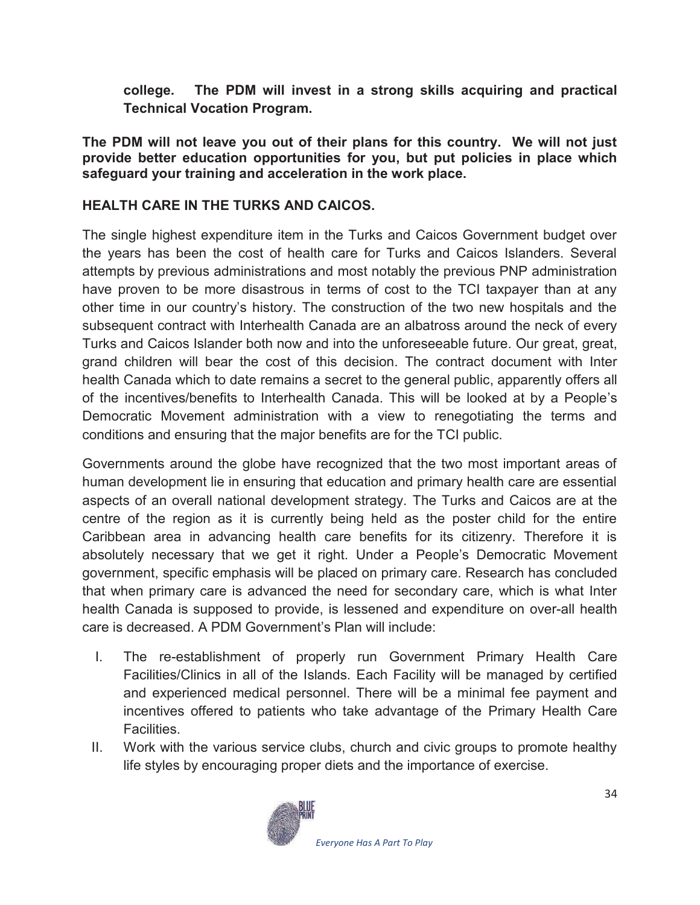**college. The PDM will invest in a strong skills acquiring and practical Technical Vocation Program.** 

**The PDM will not leave you out of their plans for this country. We will not just provide better education opportunities for you, but put policies in place which safeguard your training and acceleration in the work place.** 

## **HEALTH CARE IN THE TURKS AND CAICOS.**

The single highest expenditure item in the Turks and Caicos Government budget over the years has been the cost of health care for Turks and Caicos Islanders. Several attempts by previous administrations and most notably the previous PNP administration have proven to be more disastrous in terms of cost to the TCI taxpayer than at any other time in our country's history. The construction of the two new hospitals and the subsequent contract with Interhealth Canada are an albatross around the neck of every Turks and Caicos Islander both now and into the unforeseeable future. Our great, great, grand children will bear the cost of this decision. The contract document with Inter health Canada which to date remains a secret to the general public, apparently offers all of the incentives/benefits to Interhealth Canada. This will be looked at by a People's Democratic Movement administration with a view to renegotiating the terms and conditions and ensuring that the major benefits are for the TCI public.

Governments around the globe have recognized that the two most important areas of human development lie in ensuring that education and primary health care are essential aspects of an overall national development strategy. The Turks and Caicos are at the centre of the region as it is currently being held as the poster child for the entire Caribbean area in advancing health care benefits for its citizenry. Therefore it is absolutely necessary that we get it right. Under a People's Democratic Movement government, specific emphasis will be placed on primary care. Research has concluded that when primary care is advanced the need for secondary care, which is what Inter health Canada is supposed to provide, is lessened and expenditure on over-all health care is decreased. A PDM Government's Plan will include:

- I. The re-establishment of properly run Government Primary Health Care Facilities/Clinics in all of the Islands. Each Facility will be managed by certified and experienced medical personnel. There will be a minimal fee payment and incentives offered to patients who take advantage of the Primary Health Care Facilities.
- II. Work with the various service clubs, church and civic groups to promote healthy life styles by encouraging proper diets and the importance of exercise.

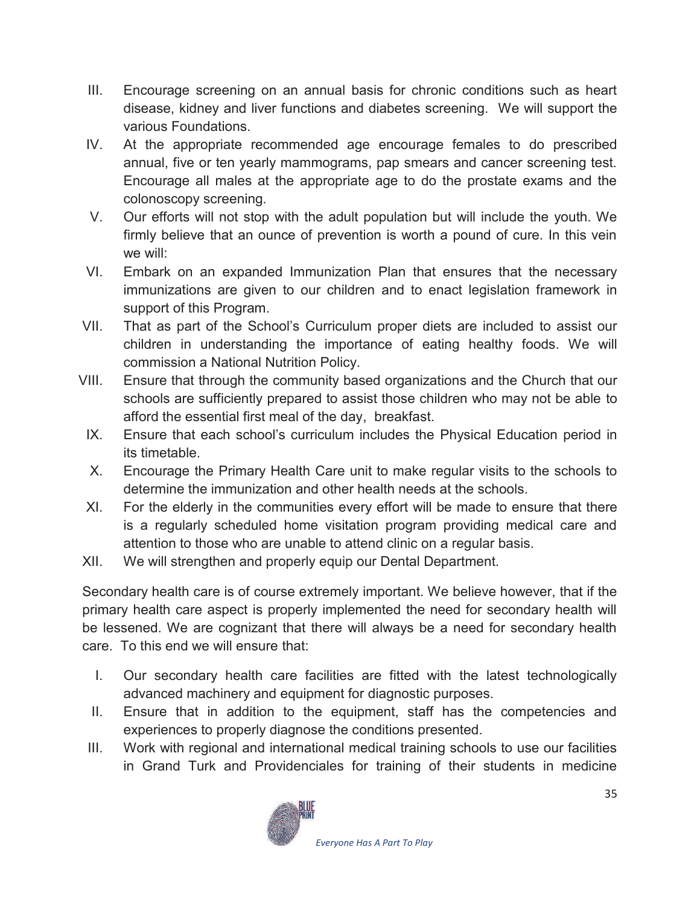- III. Encourage screening on an annual basis for chronic conditions such as heart disease, kidney and liver functions and diabetes screening. We will support the various Foundations.
- IV. At the appropriate recommended age encourage females to do prescribed annual, five or ten yearly mammograms, pap smears and cancer screening test. Encourage all males at the appropriate age to do the prostate exams and the colonoscopy screening.
- V. Our efforts will not stop with the adult population but will include the youth. We firmly believe that an ounce of prevention is worth a pound of cure. In this vein we will:
- VI. Embark on an expanded Immunization Plan that ensures that the necessary immunizations are given to our children and to enact legislation framework in support of this Program.
- VII. That as part of the School's Curriculum proper diets are included to assist our children in understanding the importance of eating healthy foods. We will commission a National Nutrition Policy.
- VIII. Ensure that through the community based organizations and the Church that our schools are sufficiently prepared to assist those children who may not be able to afford the essential first meal of the day, breakfast.
	- IX. Ensure that each school's curriculum includes the Physical Education period in its timetable.
	- X. Encourage the Primary Health Care unit to make regular visits to the schools to determine the immunization and other health needs at the schools.
- XI. For the elderly in the communities every effort will be made to ensure that there is a regularly scheduled home visitation program providing medical care and attention to those who are unable to attend clinic on a regular basis.
- XII. We will strengthen and properly equip our Dental Department.

Secondary health care is of course extremely important. We believe however, that if the primary health care aspect is properly implemented the need for secondary health will be lessened. We are cognizant that there will always be a need for secondary health care. To this end we will ensure that:

- I. Our secondary health care facilities are fitted with the latest technologically advanced machinery and equipment for diagnostic purposes.
- II. Ensure that in addition to the equipment, staff has the competencies and experiences to properly diagnose the conditions presented.
- III. Work with regional and international medical training schools to use our facilities in Grand Turk and Providenciales for training of their students in medicine

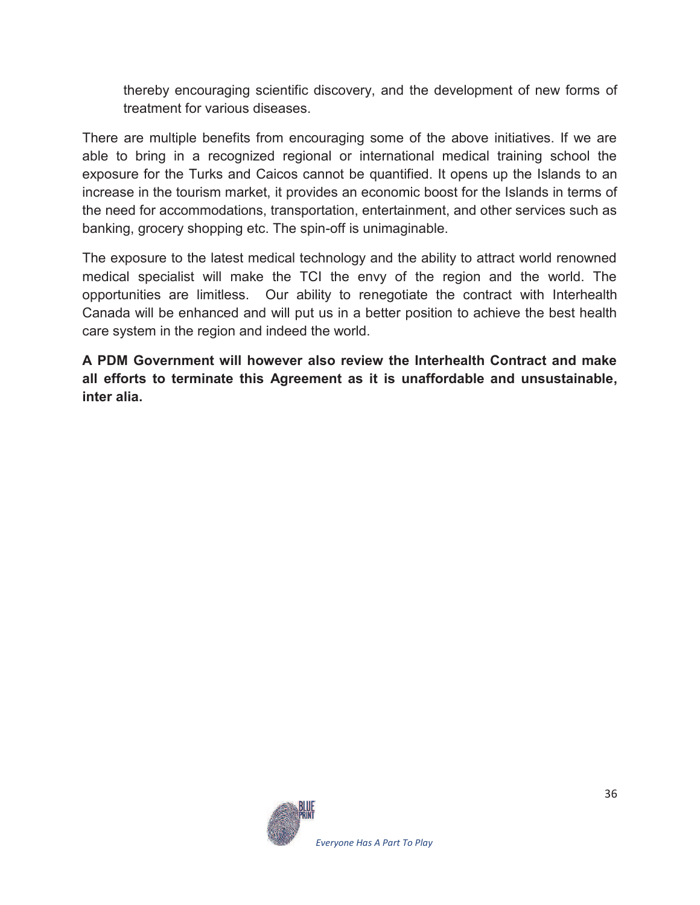thereby encouraging scientific discovery, and the development of new forms of treatment for various diseases.

There are multiple benefits from encouraging some of the above initiatives. If we are able to bring in a recognized regional or international medical training school the exposure for the Turks and Caicos cannot be quantified. It opens up the Islands to an increase in the tourism market, it provides an economic boost for the Islands in terms of the need for accommodations, transportation, entertainment, and other services such as banking, grocery shopping etc. The spin-off is unimaginable.

The exposure to the latest medical technology and the ability to attract world renowned medical specialist will make the TCI the envy of the region and the world. The opportunities are limitless. Our ability to renegotiate the contract with Interhealth Canada will be enhanced and will put us in a better position to achieve the best health care system in the region and indeed the world.

**A PDM Government will however also review the Interhealth Contract and make all efforts to terminate this Agreement as it is unaffordable and unsustainable, inter alia.** 

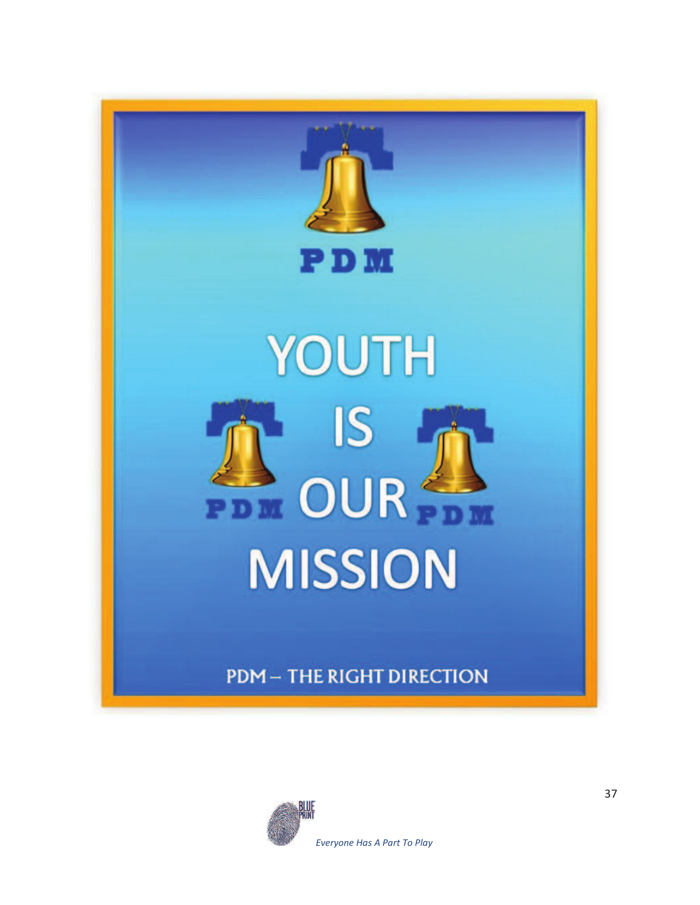

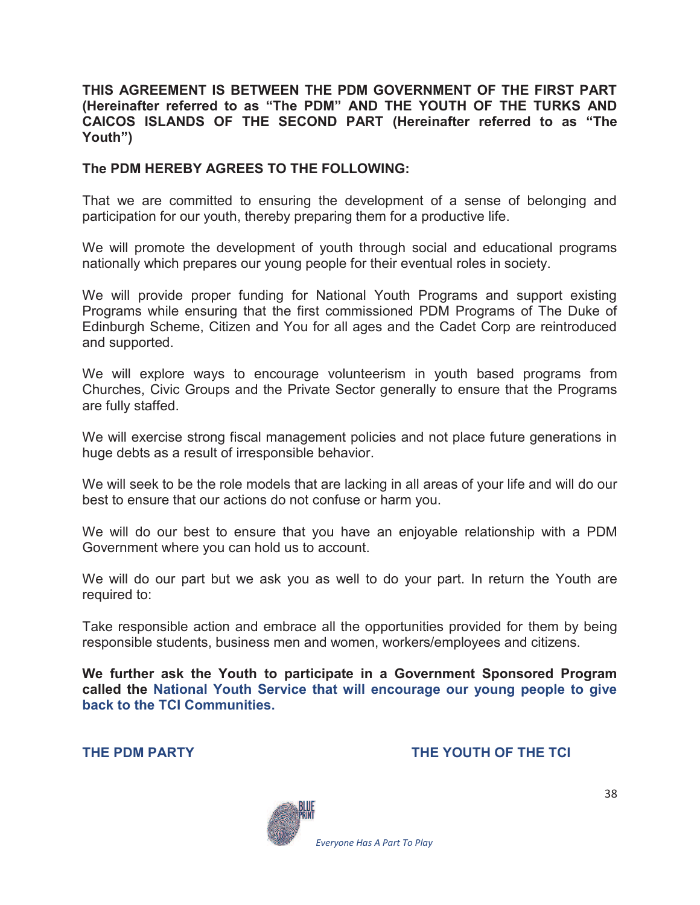#### **THIS AGREEMENT IS BETWEEN THE PDM GOVERNMENT OF THE FIRST PART (Hereinafter referred to as "The PDM" AND THE YOUTH OF THE TURKS AND CAICOS ISLANDS OF THE SECOND PART (Hereinafter referred to as "The Youth")**

#### **The PDM HEREBY AGREES TO THE FOLLOWING:**

That we are committed to ensuring the development of a sense of belonging and participation for our youth, thereby preparing them for a productive life.

We will promote the development of youth through social and educational programs nationally which prepares our young people for their eventual roles in society.

We will provide proper funding for National Youth Programs and support existing Programs while ensuring that the first commissioned PDM Programs of The Duke of Edinburgh Scheme, Citizen and You for all ages and the Cadet Corp are reintroduced and supported.

We will explore ways to encourage volunteerism in youth based programs from Churches, Civic Groups and the Private Sector generally to ensure that the Programs are fully staffed.

We will exercise strong fiscal management policies and not place future generations in huge debts as a result of irresponsible behavior.

We will seek to be the role models that are lacking in all areas of your life and will do our best to ensure that our actions do not confuse or harm you.

We will do our best to ensure that you have an enjoyable relationship with a PDM Government where you can hold us to account.

We will do our part but we ask you as well to do your part. In return the Youth are required to:

Take responsible action and embrace all the opportunities provided for them by being responsible students, business men and women, workers/employees and citizens.

**We further ask the Youth to participate in a Government Sponsored Program called the National Youth Service that will encourage our young people to give back to the TCI Communities.** 

#### **THE PDM PARTY THE YOUTH OF THE TCI**

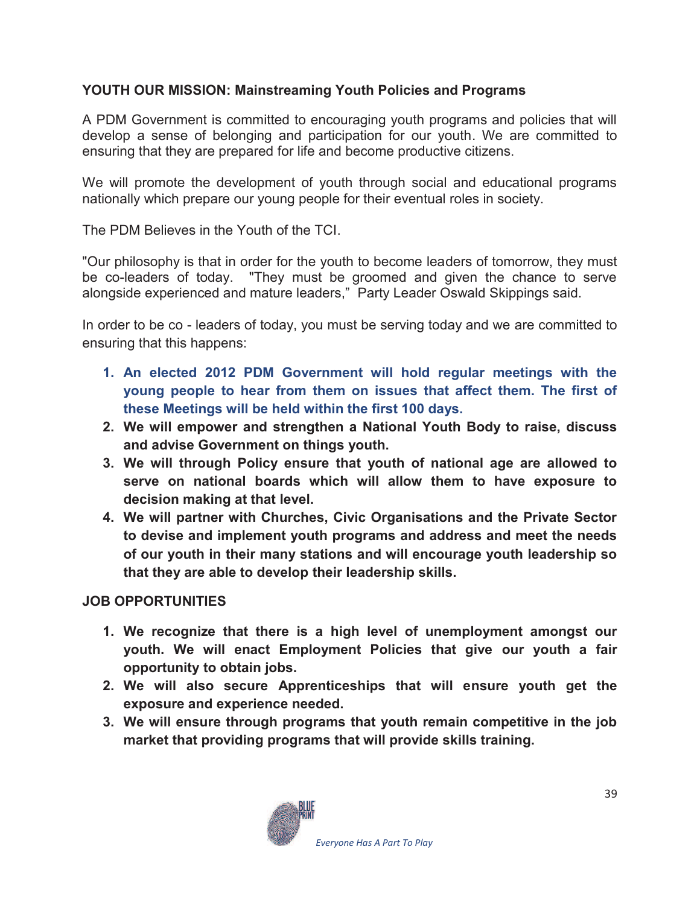## **YOUTH OUR MISSION: Mainstreaming Youth Policies and Programs**

A PDM Government is committed to encouraging youth programs and policies that will develop a sense of belonging and participation for our youth. We are committed to ensuring that they are prepared for life and become productive citizens.

We will promote the development of youth through social and educational programs nationally which prepare our young people for their eventual roles in society.

The PDM Believes in the Youth of the TCI.

"Our philosophy is that in order for the youth to become leaders of tomorrow, they must be co-leaders of today. "They must be groomed and given the chance to serve alongside experienced and mature leaders," Party Leader Oswald Skippings said.

In order to be co - leaders of today, you must be serving today and we are committed to ensuring that this happens:

- **1. An elected 2012 PDM Government will hold regular meetings with the young people to hear from them on issues that affect them. The first of these Meetings will be held within the first 100 days.**
- **2. We will empower and strengthen a National Youth Body to raise, discuss and advise Government on things youth.**
- **3. We will through Policy ensure that youth of national age are allowed to serve on national boards which will allow them to have exposure to decision making at that level.**
- **4. We will partner with Churches, Civic Organisations and the Private Sector to devise and implement youth programs and address and meet the needs of our youth in their many stations and will encourage youth leadership so that they are able to develop their leadership skills.**

## **JOB OPPORTUNITIES**

- **1. We recognize that there is a high level of unemployment amongst our youth. We will enact Employment Policies that give our youth a fair opportunity to obtain jobs.**
- **2. We will also secure Apprenticeships that will ensure youth get the exposure and experience needed.**
- **3. We will ensure through programs that youth remain competitive in the job market that providing programs that will provide skills training.**

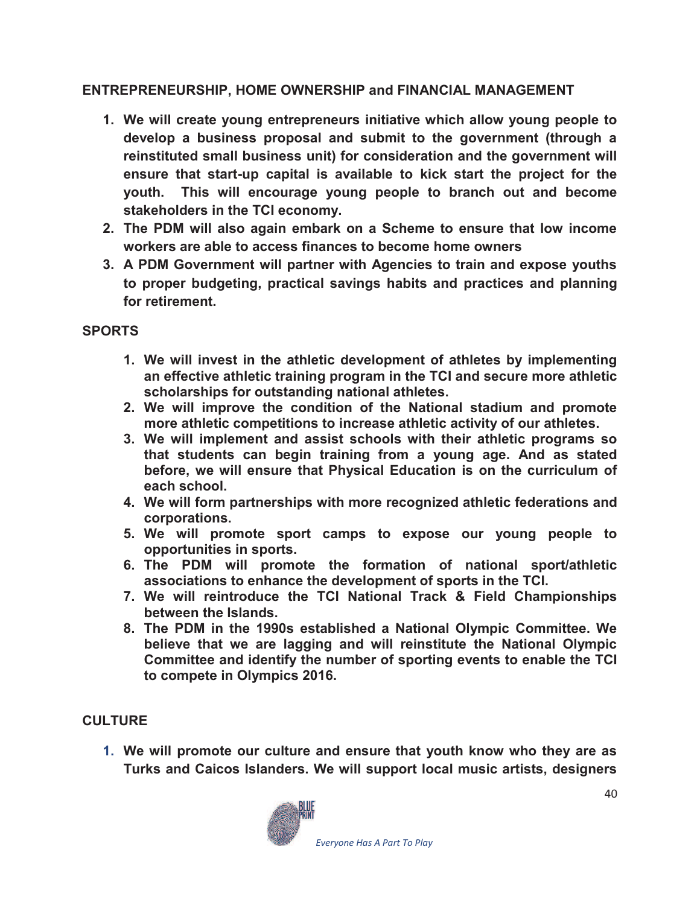### **ENTREPRENEURSHIP, HOME OWNERSHIP and FINANCIAL MANAGEMENT**

- **1. We will create young entrepreneurs initiative which allow young people to develop a business proposal and submit to the government (through a reinstituted small business unit) for consideration and the government will ensure that start-up capital is available to kick start the project for the youth. This will encourage young people to branch out and become stakeholders in the TCI economy.**
- **2. The PDM will also again embark on a Scheme to ensure that low income workers are able to access finances to become home owners**
- **3. A PDM Government will partner with Agencies to train and expose youths to proper budgeting, practical savings habits and practices and planning for retirement.**

### **SPORTS**

- **1. We will invest in the athletic development of athletes by implementing an effective athletic training program in the TCI and secure more athletic scholarships for outstanding national athletes.**
- **2. We will improve the condition of the National stadium and promote more athletic competitions to increase athletic activity of our athletes.**
- **3. We will implement and assist schools with their athletic programs so that students can begin training from a young age. And as stated before, we will ensure that Physical Education is on the curriculum of each school.**
- **4. We will form partnerships with more recognized athletic federations and corporations.**
- **5. We will promote sport camps to expose our young people to opportunities in sports.**
- **6. The PDM will promote the formation of national sport/athletic associations to enhance the development of sports in the TCI.**
- **7. We will reintroduce the TCI National Track & Field Championships between the Islands.**
- **8. The PDM in the 1990s established a National Olympic Committee. We believe that we are lagging and will reinstitute the National Olympic Committee and identify the number of sporting events to enable the TCI to compete in Olympics 2016.**

## **CULTURE**

**1. We will promote our culture and ensure that youth know who they are as Turks and Caicos Islanders. We will support local music artists, designers** 

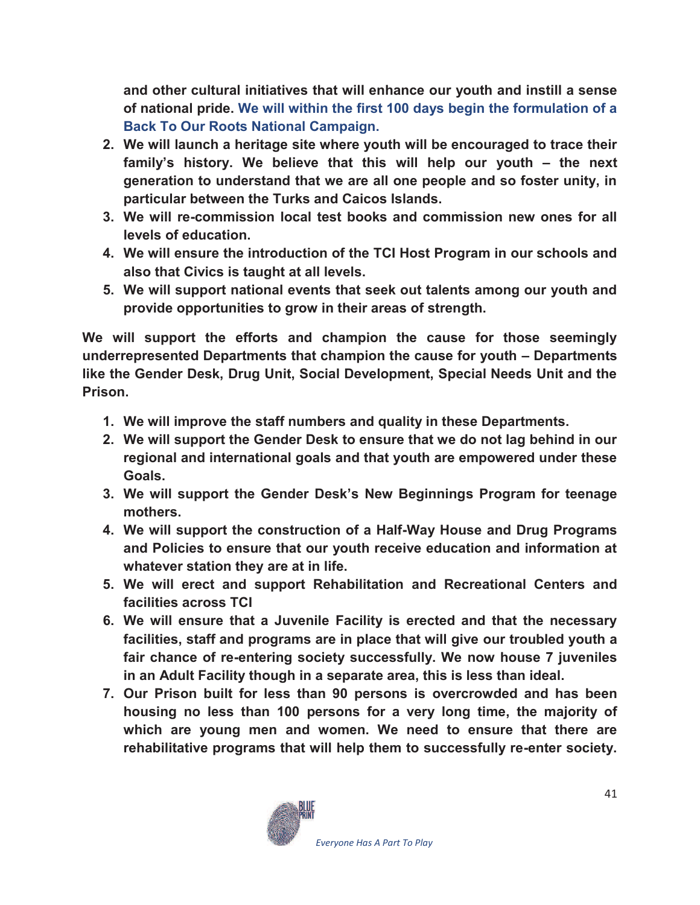**and other cultural initiatives that will enhance our youth and instill a sense of national pride. We will within the first 100 days begin the formulation of a Back To Our Roots National Campaign.** 

- **2. We will launch a heritage site where youth will be encouraged to trace their family's history. We believe that this will help our youth – the next generation to understand that we are all one people and so foster unity, in particular between the Turks and Caicos Islands.**
- **3. We will re-commission local test books and commission new ones for all levels of education.**
- **4. We will ensure the introduction of the TCI Host Program in our schools and also that Civics is taught at all levels.**
- **5. We will support national events that seek out talents among our youth and provide opportunities to grow in their areas of strength.**

**We will support the efforts and champion the cause for those seemingly underrepresented Departments that champion the cause for youth – Departments like the Gender Desk, Drug Unit, Social Development, Special Needs Unit and the Prison.** 

- **1. We will improve the staff numbers and quality in these Departments.**
- **2. We will support the Gender Desk to ensure that we do not lag behind in our regional and international goals and that youth are empowered under these Goals.**
- **3. We will support the Gender Desk's New Beginnings Program for teenage mothers.**
- **4. We will support the construction of a Half-Way House and Drug Programs and Policies to ensure that our youth receive education and information at whatever station they are at in life.**
- **5. We will erect and support Rehabilitation and Recreational Centers and facilities across TCI**
- **6. We will ensure that a Juvenile Facility is erected and that the necessary facilities, staff and programs are in place that will give our troubled youth a fair chance of re-entering society successfully. We now house 7 juveniles in an Adult Facility though in a separate area, this is less than ideal.**
- **7. Our Prison built for less than 90 persons is overcrowded and has been housing no less than 100 persons for a very long time, the majority of which are young men and women. We need to ensure that there are rehabilitative programs that will help them to successfully re-enter society.**

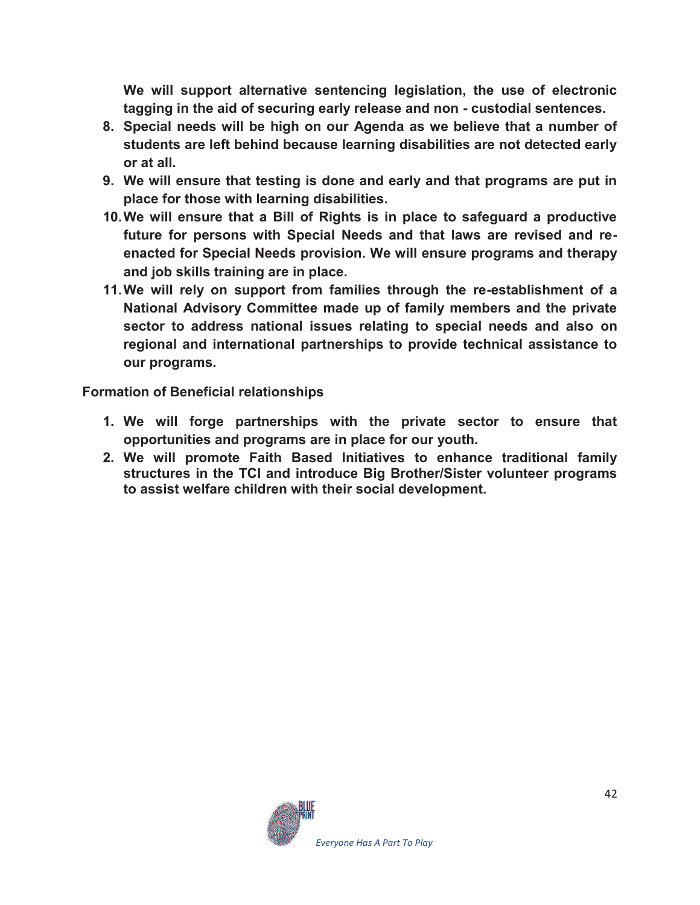**We will support alternative sentencing legislation, the use of electronic tagging in the aid of securing early release and non - custodial sentences.** 

- **8. Special needs will be high on our Agenda as we believe that a number of students are left behind because learning disabilities are not detected early or at all.**
- **9. We will ensure that testing is done and early and that programs are put in place for those with learning disabilities.**
- **10. We will ensure that a Bill of Rights is in place to safeguard a productive future for persons with Special Needs and that laws are revised and reenacted for Special Needs provision. We will ensure programs and therapy and job skills training are in place.**
- **11. We will rely on support from families through the re-establishment of a National Advisory Committee made up of family members and the private sector to address national issues relating to special needs and also on regional and international partnerships to provide technical assistance to our programs.**

**Formation of Beneficial relationships** 

- **1. We will forge partnerships with the private sector to ensure that opportunities and programs are in place for our youth.**
- **2. We will promote Faith Based Initiatives to enhance traditional family structures in the TCI and introduce Big Brother/Sister volunteer programs to assist welfare children with their social development.**

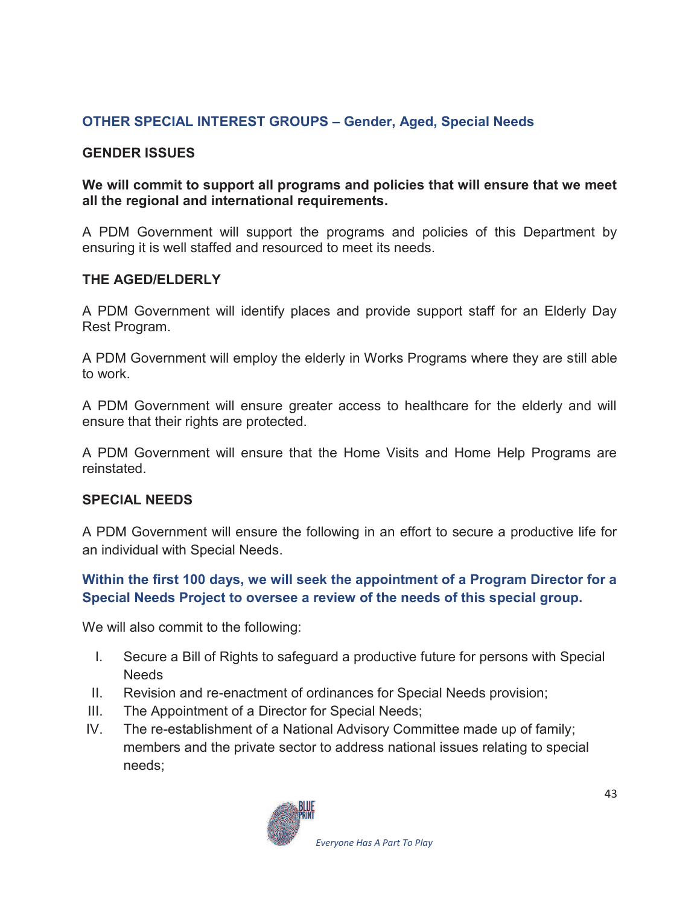## **OTHER SPECIAL INTEREST GROUPS – Gender, Aged, Special Needs**

#### **GENDER ISSUES**

#### **We will commit to support all programs and policies that will ensure that we meet all the regional and international requirements.**

A PDM Government will support the programs and policies of this Department by ensuring it is well staffed and resourced to meet its needs.

#### **THE AGED/ELDERLY**

A PDM Government will identify places and provide support staff for an Elderly Day Rest Program.

A PDM Government will employ the elderly in Works Programs where they are still able to work.

A PDM Government will ensure greater access to healthcare for the elderly and will ensure that their rights are protected.

A PDM Government will ensure that the Home Visits and Home Help Programs are reinstated.

#### **SPECIAL NEEDS**

A PDM Government will ensure the following in an effort to secure a productive life for an individual with Special Needs.

### **Within the first 100 days, we will seek the appointment of a Program Director for a Special Needs Project to oversee a review of the needs of this special group.**

We will also commit to the following:

- I. Secure a Bill of Rights to safeguard a productive future for persons with Special **Needs**
- II. Revision and re-enactment of ordinances for Special Needs provision;
- III. The Appointment of a Director for Special Needs;
- IV. The re-establishment of a National Advisory Committee made up of family; members and the private sector to address national issues relating to special needs;

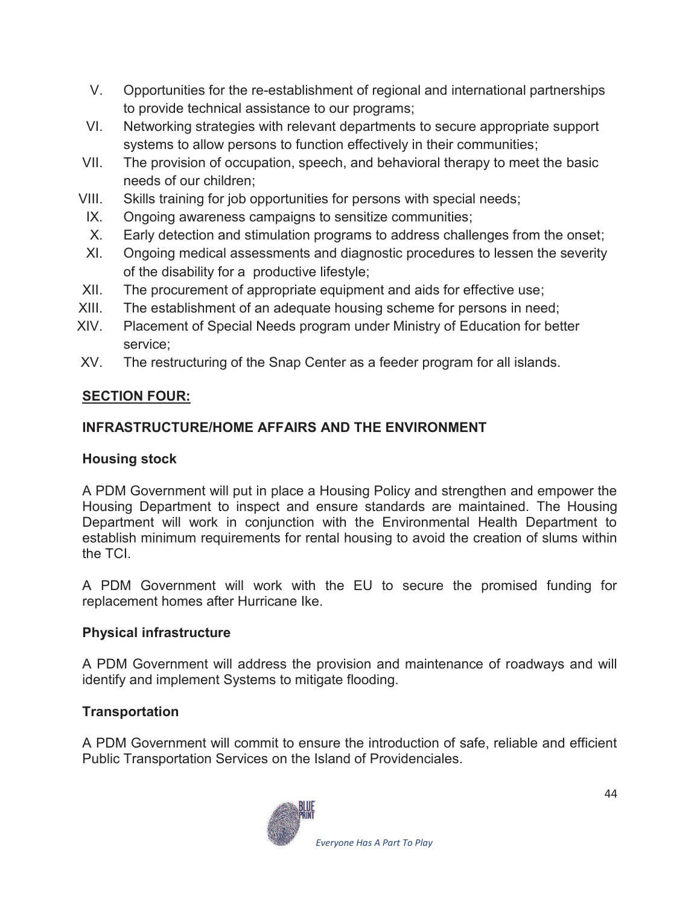- V. Opportunities for the re-establishment of regional and international partnerships to provide technical assistance to our programs;
- VI. Networking strategies with relevant departments to secure appropriate support systems to allow persons to function effectively in their communities;
- VII. The provision of occupation, speech, and behavioral therapy to meet the basic needs of our children;
- VIII. Skills training for job opportunities for persons with special needs;
- IX. Ongoing awareness campaigns to sensitize communities;
- X. Early detection and stimulation programs to address challenges from the onset;
- XI. Ongoing medical assessments and diagnostic procedures to lessen the severity of the disability for a productive lifestyle;
- XII. The procurement of appropriate equipment and aids for effective use;
- XIII. The establishment of an adequate housing scheme for persons in need;
- XIV. Placement of Special Needs program under Ministry of Education for better service;
- XV. The restructuring of the Snap Center as a feeder program for all islands.

## **SECTION FOUR:**

## **INFRASTRUCTURE/HOME AFFAIRS AND THE ENVIRONMENT**

## **Housing stock**

A PDM Government will put in place a Housing Policy and strengthen and empower the Housing Department to inspect and ensure standards are maintained. The Housing Department will work in conjunction with the Environmental Health Department to establish minimum requirements for rental housing to avoid the creation of slums within the TCI.

A PDM Government will work with the EU to secure the promised funding for replacement homes after Hurricane Ike.

## **Physical infrastructure**

A PDM Government will address the provision and maintenance of roadways and will identify and implement Systems to mitigate flooding.

## **Transportation**

A PDM Government will commit to ensure the introduction of safe, reliable and efficient Public Transportation Services on the Island of Providenciales.

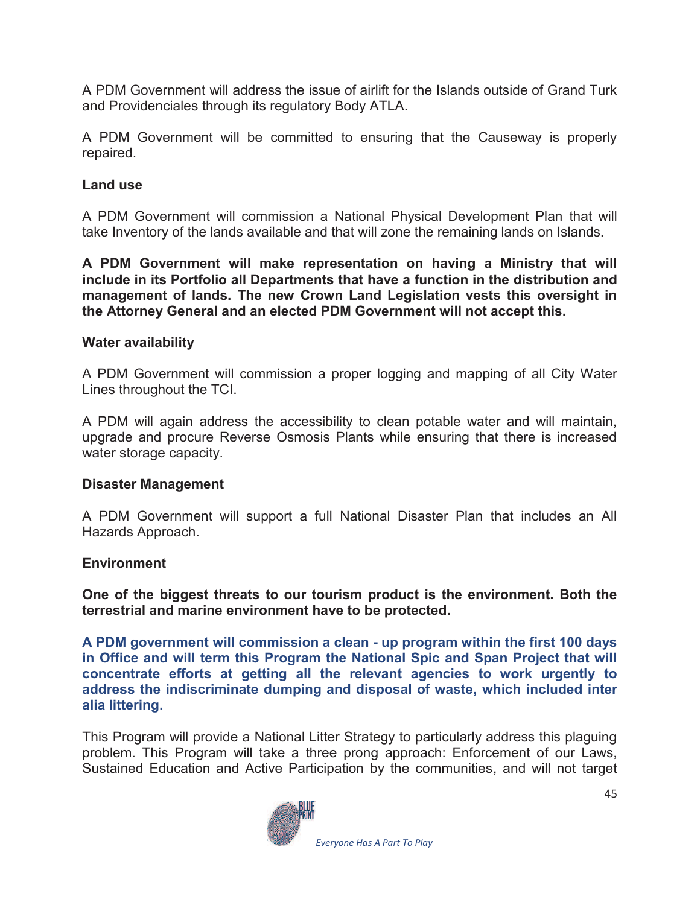A PDM Government will address the issue of airlift for the Islands outside of Grand Turk and Providenciales through its regulatory Body ATLA.

A PDM Government will be committed to ensuring that the Causeway is properly repaired.

#### **Land use**

A PDM Government will commission a National Physical Development Plan that will take Inventory of the lands available and that will zone the remaining lands on Islands.

**A PDM Government will make representation on having a Ministry that will include in its Portfolio all Departments that have a function in the distribution and management of lands. The new Crown Land Legislation vests this oversight in the Attorney General and an elected PDM Government will not accept this.** 

#### **Water availability**

A PDM Government will commission a proper logging and mapping of all City Water Lines throughout the TCI.

A PDM will again address the accessibility to clean potable water and will maintain, upgrade and procure Reverse Osmosis Plants while ensuring that there is increased water storage capacity.

#### **Disaster Management**

A PDM Government will support a full National Disaster Plan that includes an All Hazards Approach.

#### **Environment**

**One of the biggest threats to our tourism product is the environment. Both the terrestrial and marine environment have to be protected.** 

**A PDM government will commission a clean - up program within the first 100 days in Office and will term this Program the National Spic and Span Project that will concentrate efforts at getting all the relevant agencies to work urgently to address the indiscriminate dumping and disposal of waste, which included inter alia littering.** 

This Program will provide a National Litter Strategy to particularly address this plaguing problem. This Program will take a three prong approach: Enforcement of our Laws, Sustained Education and Active Participation by the communities, and will not target

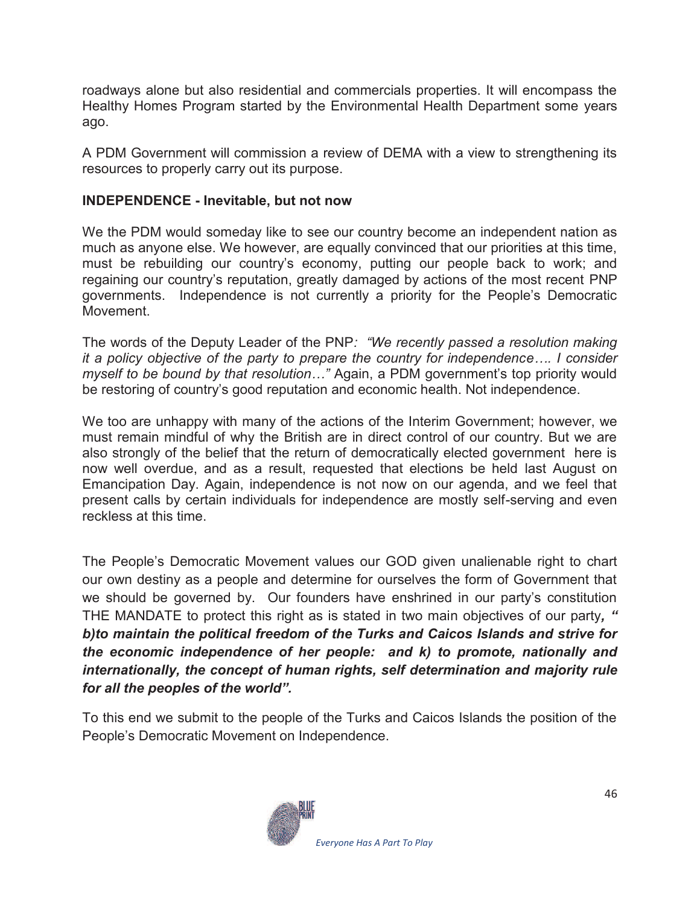roadways alone but also residential and commercials properties. It will encompass the Healthy Homes Program started by the Environmental Health Department some years ago.

A PDM Government will commission a review of DEMA with a view to strengthening its resources to properly carry out its purpose.

#### **INDEPENDENCE - Inevitable, but not now**

We the PDM would someday like to see our country become an independent nation as much as anyone else. We however, are equally convinced that our priorities at this time, must be rebuilding our country's economy, putting our people back to work; and regaining our country's reputation, greatly damaged by actions of the most recent PNP governments. Independence is not currently a priority for the People's Democratic Movement.

The words of the Deputy Leader of the PNP*: "We recently passed a resolution making it a policy objective of the party to prepare the country for independence…. I consider myself to be bound by that resolution* ..." Again, a PDM government's top priority would be restoring of country's good reputation and economic health. Not independence.

We too are unhappy with many of the actions of the Interim Government; however, we must remain mindful of why the British are in direct control of our country. But we are also strongly of the belief that the return of democratically elected government here is now well overdue, and as a result, requested that elections be held last August on Emancipation Day. Again, independence is not now on our agenda, and we feel that present calls by certain individuals for independence are mostly self-serving and even reckless at this time.

The People's Democratic Movement values our GOD given unalienable right to chart our own destiny as a people and determine for ourselves the form of Government that we should be governed by. Our founders have enshrined in our party's constitution THE MANDATE to protect this right as is stated in two main objectives of our party*, " b)to maintain the political freedom of the Turks and Caicos Islands and strive for the economic independence of her people: and k) to promote, nationally and internationally, the concept of human rights, self determination and majority rule for all the peoples of the world".*

To this end we submit to the people of the Turks and Caicos Islands the position of the People's Democratic Movement on Independence.

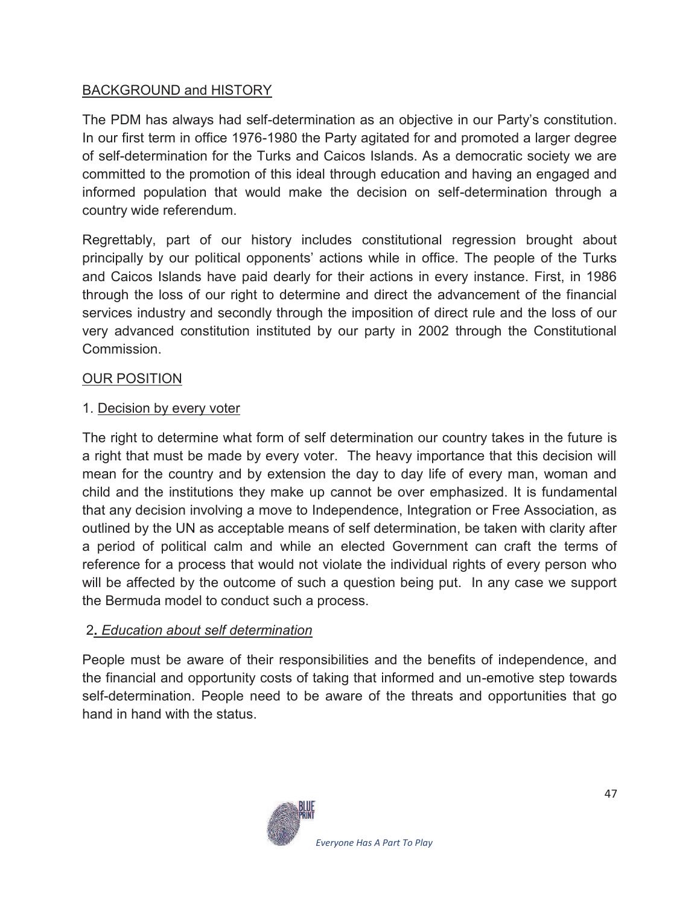### BACKGROUND and HISTORY

The PDM has always had self-determination as an objective in our Party's constitution. In our first term in office 1976-1980 the Party agitated for and promoted a larger degree of self-determination for the Turks and Caicos Islands. As a democratic society we are committed to the promotion of this ideal through education and having an engaged and informed population that would make the decision on self-determination through a country wide referendum.

Regrettably, part of our history includes constitutional regression brought about principally by our political opponents' actions while in office. The people of the Turks and Caicos Islands have paid dearly for their actions in every instance. First, in 1986 through the loss of our right to determine and direct the advancement of the financial services industry and secondly through the imposition of direct rule and the loss of our very advanced constitution instituted by our party in 2002 through the Constitutional Commission.

### OUR POSITION

### 1. Decision by every voter

The right to determine what form of self determination our country takes in the future is a right that must be made by every voter. The heavy importance that this decision will mean for the country and by extension the day to day life of every man, woman and child and the institutions they make up cannot be over emphasized. It is fundamental that any decision involving a move to Independence, Integration or Free Association, as outlined by the UN as acceptable means of self determination, be taken with clarity after a period of political calm and while an elected Government can craft the terms of reference for a process that would not violate the individual rights of every person who will be affected by the outcome of such a question being put. In any case we support the Bermuda model to conduct such a process.

#### 2**.** *Education about self determination*

People must be aware of their responsibilities and the benefits of independence, and the financial and opportunity costs of taking that informed and un-emotive step towards self-determination. People need to be aware of the threats and opportunities that go hand in hand with the status.

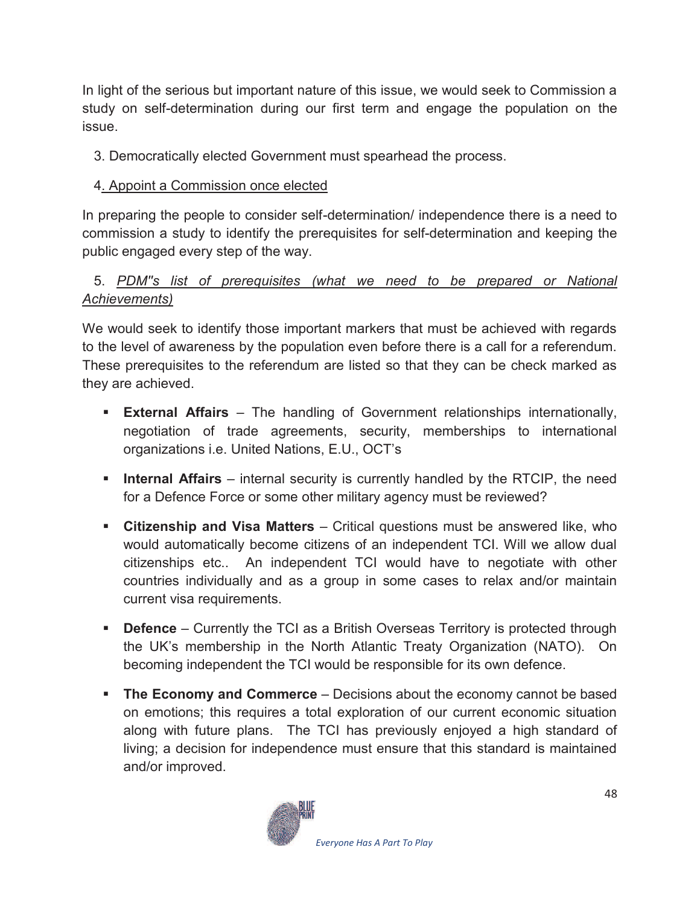In light of the serious but important nature of this issue, we would seek to Commission a study on self-determination during our first term and engage the population on the issue.

3. Democratically elected Government must spearhead the process.

## 4. Appoint a Commission once elected

In preparing the people to consider self-determination/ independence there is a need to commission a study to identify the prerequisites for self-determination and keeping the public engaged every step of the way.

## 5. *PDM''s list of prerequisites (what we need to be prepared or National Achievements)*

We would seek to identify those important markers that must be achieved with regards to the level of awareness by the population even before there is a call for a referendum. These prerequisites to the referendum are listed so that they can be check marked as they are achieved.

- **External Affairs** The handling of Government relationships internationally, negotiation of trade agreements, security, memberships to international organizations i.e. United Nations, E.U., OCT's
- **Internal Affairs** internal security is currently handled by the RTCIP, the need for a Defence Force or some other military agency must be reviewed?
- **Example 3 In Senship and Visa Matters** Critical questions must be answered like, who would automatically become citizens of an independent TCI. Will we allow dual citizenships etc.. An independent TCI would have to negotiate with other countries individually and as a group in some cases to relax and/or maintain current visa requirements.
- **Defence** Currently the TCI as a British Overseas Territory is protected through the UK's membership in the North Atlantic Treaty Organization (NATO). On becoming independent the TCI would be responsible for its own defence.
- **The Economy and Commerce** Decisions about the economy cannot be based on emotions; this requires a total exploration of our current economic situation along with future plans. The TCI has previously enjoyed a high standard of living; a decision for independence must ensure that this standard is maintained and/or improved.

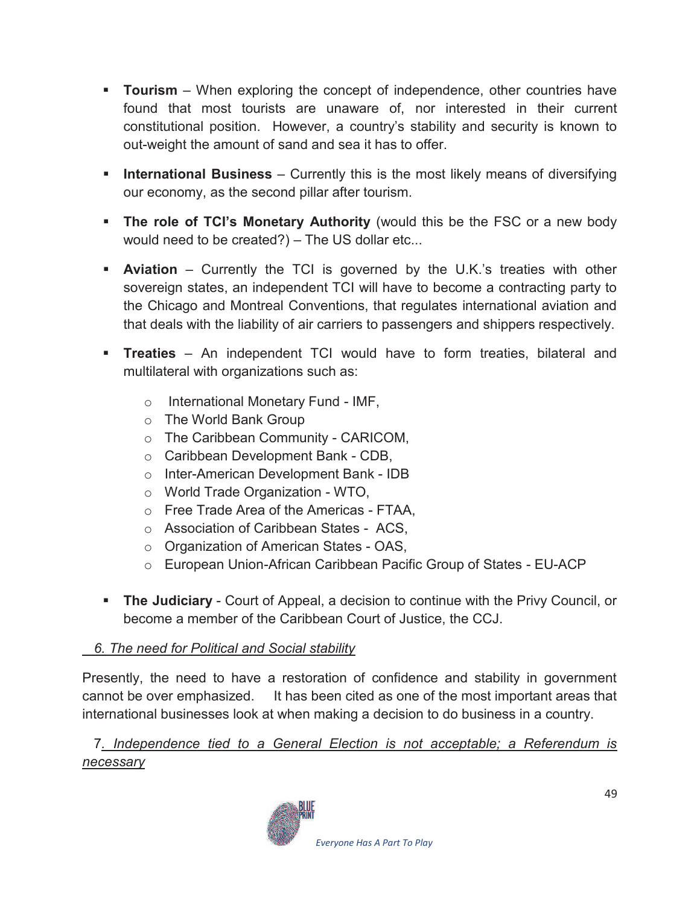- **Tourism** When exploring the concept of independence, other countries have found that most tourists are unaware of, nor interested in their current constitutional position. However, a country's stability and security is known to out-weight the amount of sand and sea it has to offer.
- **International Business** Currently this is the most likely means of diversifying our economy, as the second pillar after tourism.
- **The role of TCI's Monetary Authority** (would this be the FSC or a new body would need to be created?) – The US dollar etc...
- **Aviation** Currently the TCI is governed by the U.K.'s treaties with other sovereign states, an independent TCI will have to become a contracting party to the Chicago and Montreal Conventions, that regulates international aviation and that deals with the liability of air carriers to passengers and shippers respectively.
- **Treaties** An independent TCI would have to form treaties, bilateral and multilateral with organizations such as:
	- o International Monetary Fund IMF,
	- o The World Bank Group
	- o The Caribbean Community CARICOM,
	- o Caribbean Development Bank CDB,
	- o Inter-American Development Bank IDB
	- o World Trade Organization WTO,
	- o Free Trade Area of the Americas FTAA,
	- o Association of Caribbean States ACS,
	- o Organization of American States OAS,
	- o European Union-African Caribbean Pacific Group of States EU-ACP
- **The Judiciary** Court of Appeal, a decision to continue with the Privy Council, or become a member of the Caribbean Court of Justice, the CCJ.

## *6. The need for Political and Social stability*

Presently, the need to have a restoration of confidence and stability in government cannot be over emphasized. It has been cited as one of the most important areas that international businesses look at when making a decision to do business in a country.

 7*. Independence tied to a General Election is not acceptable; a Referendum is necessary* 

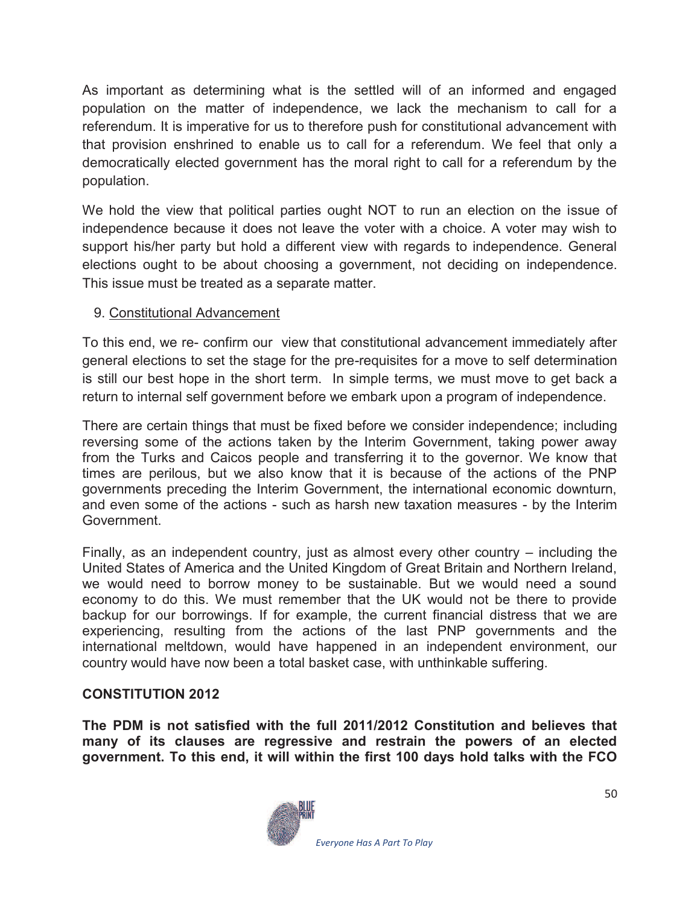As important as determining what is the settled will of an informed and engaged population on the matter of independence, we lack the mechanism to call for a referendum. It is imperative for us to therefore push for constitutional advancement with that provision enshrined to enable us to call for a referendum. We feel that only a democratically elected government has the moral right to call for a referendum by the population.

We hold the view that political parties ought NOT to run an election on the issue of independence because it does not leave the voter with a choice. A voter may wish to support his/her party but hold a different view with regards to independence. General elections ought to be about choosing a government, not deciding on independence. This issue must be treated as a separate matter.

### 9. Constitutional Advancement

To this end, we re- confirm our view that constitutional advancement immediately after general elections to set the stage for the pre-requisites for a move to self determination is still our best hope in the short term. In simple terms, we must move to get back a return to internal self government before we embark upon a program of independence.

There are certain things that must be fixed before we consider independence; including reversing some of the actions taken by the Interim Government, taking power away from the Turks and Caicos people and transferring it to the governor. We know that times are perilous, but we also know that it is because of the actions of the PNP governments preceding the Interim Government, the international economic downturn, and even some of the actions - such as harsh new taxation measures - by the Interim Government.

Finally, as an independent country, just as almost every other country – including the United States of America and the United Kingdom of Great Britain and Northern Ireland, we would need to borrow money to be sustainable. But we would need a sound economy to do this. We must remember that the UK would not be there to provide backup for our borrowings. If for example, the current financial distress that we are experiencing, resulting from the actions of the last PNP governments and the international meltdown, would have happened in an independent environment, our country would have now been a total basket case, with unthinkable suffering.

## **CONSTITUTION 2012**

**The PDM is not satisfied with the full 2011/2012 Constitution and believes that many of its clauses are regressive and restrain the powers of an elected government. To this end, it will within the first 100 days hold talks with the FCO**